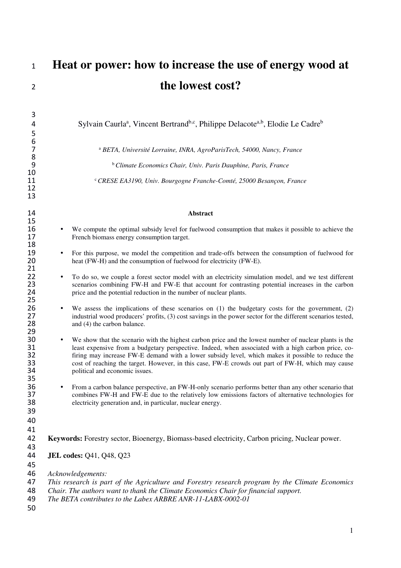**Heat or power: how to increase the use of energy wood at the lowest cost?**  4 Sylvain Caurla<sup>a</sup>, Vincent Bertrand<sup>b,c</sup>, Philippe Delacote<sup>a,b</sup>, Elodie Le Cadre<sup>b</sup> 6<br>7 <sup>a</sup> *BETA, Université Lorraine, INRA, AgroParisTech, 54000, Nancy, France* <sup>b</sup> Climate Economics Chair, Univ. Paris Dauphine, Paris, France <sup>c</sup>*CRESE EA3190, Univ. Bourgogne Franche-Comté, 25000 Besançon, France*  **Abstract**  16 • We compute the optimal subsidy level for fuelwood consumption that makes it possible to achieve the 17 French biomass energy consumption target. French biomass energy consumption target. 19 • For this purpose, we model the competition and trade-offs between the consumption of fuelwood for heat (FW-H) and the consumption of fuelwood for electricity (FW-E). heat (FW-H) and the consumption of fuelwood for electricity (FW-E).  $\frac{21}{22}$ <sup>22</sup> • To do so, we couple a forest sector model with an electricity simulation model, and we test different scenarios combining FW-H and FW-E that account for contrasting potential increases in the carbon 23 scenarios combining FW-H and FW-E that account for contrasting potential increases in the carbon 24 price and the potential reduction in the number of nuclear plants. price and the potential reduction in the number of nuclear plants. • We assess the implications of these scenarios on (1) the budgetary costs for the government, (2) 27 industrial wood producers' profits, (3) cost savings in the power sector for the different scenarios tested,<br>28 and (4) the carbon balance. and  $(4)$  the carbon balance. • We show that the scenario with the highest carbon price and the lowest number of nuclear plants is the 31 least expensive from a budgetary perspective. Indeed, when associated with a high carbon price, co-<br>32 firing may increase FW-E demand with a lower subsidy level, which makes it possible to reduce the firing may increase FW-E demand with a lower subsidy level, which makes it possible to reduce the cost of reaching the target. However, in this case, FW-E crowds out part of FW-H, which may cause political and economic issues. • From a carbon balance perspective, an FW-H-only scenario performs better than any other scenario that 37 combines FW-H and FW-E due to the relatively low emissions factors of alternative technologies for electricity generation and, in particular, nuclear energy. electricity generation and, in particular, nuclear energy. **Keywords:** Forestry sector, Bioenergy, Biomass-based electricity, Carbon pricing, Nuclear power. **JEL codes:** Q41, Q48, Q23 *Acknowledgements: This research is part of the Agriculture and Forestry research program by the Climate Economics Chair. The authors want to thank the Climate Economics Chair for financial support. The BETA contributes to the Labex ARBRE ANR-11-LABX-0002-01*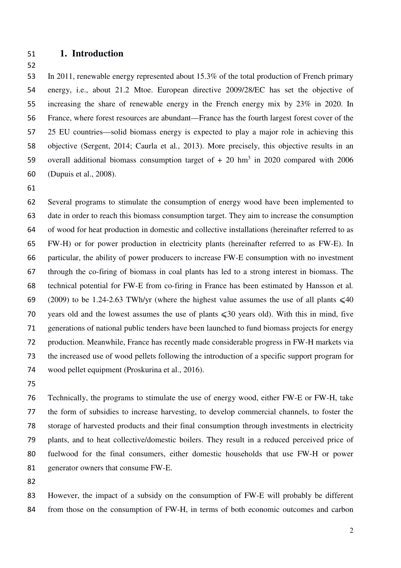## **1. Introduction**

In 2011, renewable energy represented about 15.3% of the total production of French primary energy, i.e., about 21.2 Mtoe. European directive 2009/28/EC has set the objective of increasing the share of renewable energy in the French energy mix by 23% in 2020. In France, where forest resources are abundant—France has the fourth largest forest cover of the 25 EU countries—solid biomass energy is expected to play a major role in achieving this objective (Sergent, 2014; Caurla et al*.*, 2013). More precisely, this objective results in an 59 overall additional biomass consumption target of  $+ 20 \text{ hm}^3$  in 2020 compared with 2006 (Dupuis et al., 2008).

Several programs to stimulate the consumption of energy wood have been implemented to date in order to reach this biomass consumption target. They aim to increase the consumption of wood for heat production in domestic and collective installations (hereinafter referred to as FW-H) or for power production in electricity plants (hereinafter referred to as FW-E). In particular, the ability of power producers to increase FW-E consumption with no investment through the co-firing of biomass in coal plants has led to a strong interest in biomass. The technical potential for FW-E from co-firing in France has been estimated by Hansson et al*.* 69 (2009) to be 1.24-2.63 TWh/yr (where the highest value assumes the use of all plants  $\leq 40$ 70 vears old and the lowest assumes the use of plants  $\leq 30$  years old). With this in mind, five generations of national public tenders have been launched to fund biomass projects for energy production. Meanwhile, France has recently made considerable progress in FW-H markets via the increased use of wood pellets following the introduction of a specific support program for wood pellet equipment (Proskurina et al., 2016).

Technically, the programs to stimulate the use of energy wood, either FW-E or FW-H, take the form of subsidies to increase harvesting, to develop commercial channels, to foster the storage of harvested products and their final consumption through investments in electricity plants, and to heat collective/domestic boilers. They result in a reduced perceived price of fuelwood for the final consumers, either domestic households that use FW-H or power generator owners that consume FW-E.

However, the impact of a subsidy on the consumption of FW-E will probably be different from those on the consumption of FW-H, in terms of both economic outcomes and carbon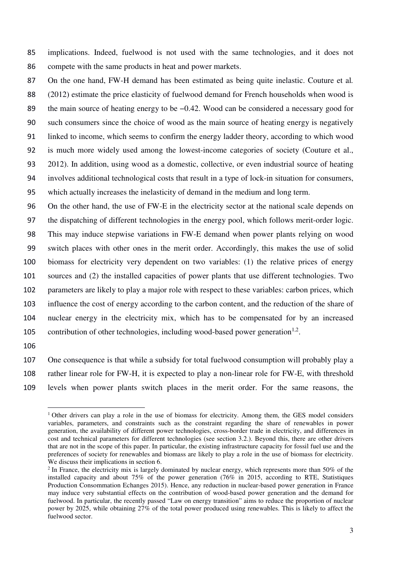implications. Indeed, fuelwood is not used with the same technologies, and it does not compete with the same products in heat and power markets.

On the one hand, FW-H demand has been estimated as being quite inelastic. Couture et al*.* (2012) estimate the price elasticity of fuelwood demand for French households when wood is the main source of heating energy to be −0.42. Wood can be considered a necessary good for such consumers since the choice of wood as the main source of heating energy is negatively linked to income, which seems to confirm the energy ladder theory, according to which wood is much more widely used among the lowest-income categories of society (Couture et al., 2012). In addition, using wood as a domestic, collective, or even industrial source of heating involves additional technological costs that result in a type of lock-in situation for consumers, which actually increases the inelasticity of demand in the medium and long term.

On the other hand, the use of FW-E in the electricity sector at the national scale depends on the dispatching of different technologies in the energy pool, which follows merit-order logic. This may induce stepwise variations in FW-E demand when power plants relying on wood switch places with other ones in the merit order. Accordingly, this makes the use of solid biomass for electricity very dependent on two variables: (1) the relative prices of energy sources and (2) the installed capacities of power plants that use different technologies. Two parameters are likely to play a major role with respect to these variables: carbon prices, which influence the cost of energy according to the carbon content, and the reduction of the share of nuclear energy in the electricity mix, which has to be compensated for by an increased 105 contribution of other technologies, including wood-based power generation<sup>1,2</sup>.

 $\overline{a}$ 

One consequence is that while a subsidy for total fuelwood consumption will probably play a rather linear role for FW-H, it is expected to play a non-linear role for FW-E, with threshold levels when power plants switch places in the merit order. For the same reasons, the

<sup>&</sup>lt;sup>1</sup> Other drivers can play a role in the use of biomass for electricity. Among them, the GES model considers variables, parameters, and constraints such as the constraint regarding the share of renewables in power generation, the availability of different power technologies, cross-border trade in electricity, and differences in cost and technical parameters for different technologies (see section 3.2.). Beyond this, there are other drivers that are not in the scope of this paper. In particular, the existing infrastructure capacity for fossil fuel use and the preferences of society for renewables and biomass are likely to play a role in the use of biomass for electricity. We discuss their implications in section 6.

 In France, the electricity mix is largely dominated by nuclear energy, which represents more than 50% of the installed capacity and about 75% of the power generation (76% in 2015, according to RTE, Statistiques Production Consommation Echanges 2015). Hence, any reduction in nuclear-based power generation in France may induce very substantial effects on the contribution of wood-based power generation and the demand for fuelwood. In particular, the recently passed "Law on energy transition" aims to reduce the proportion of nuclear power by 2025, while obtaining 27% of the total power produced using renewables. This is likely to affect the fuelwood sector.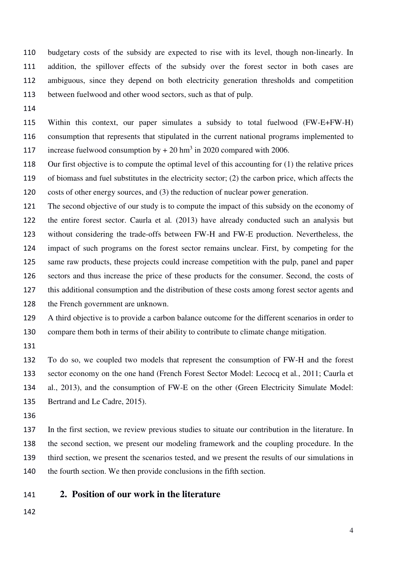budgetary costs of the subsidy are expected to rise with its level, though non-linearly. In addition, the spillover effects of the subsidy over the forest sector in both cases are ambiguous, since they depend on both electricity generation thresholds and competition between fuelwood and other wood sectors, such as that of pulp.

Within this context, our paper simulates a subsidy to total fuelwood (FW-E+FW-H) consumption that represents that stipulated in the current national programs implemented to 117 increase fuelwood consumption by  $+ 20$  hm<sup>3</sup> in 2020 compared with 2006.

Our first objective is to compute the optimal level of this accounting for (1) the relative prices of biomass and fuel substitutes in the electricity sector; (2) the carbon price, which affects the costs of other energy sources, and (3) the reduction of nuclear power generation.

The second objective of our study is to compute the impact of this subsidy on the economy of the entire forest sector. Caurla et al*.* (2013) have already conducted such an analysis but without considering the trade-offs between FW-H and FW-E production. Nevertheless, the impact of such programs on the forest sector remains unclear. First, by competing for the same raw products, these projects could increase competition with the pulp, panel and paper sectors and thus increase the price of these products for the consumer. Second, the costs of this additional consumption and the distribution of these costs among forest sector agents and the French government are unknown.

A third objective is to provide a carbon balance outcome for the different scenarios in order to compare them both in terms of their ability to contribute to climate change mitigation.

To do so, we coupled two models that represent the consumption of FW-H and the forest sector economy on the one hand (French Forest Sector Model: Lecocq et al*.*, 2011; Caurla et al., 2013), and the consumption of FW-E on the other (Green Electricity Simulate Model: Bertrand and Le Cadre, 2015).

In the first section, we review previous studies to situate our contribution in the literature. In the second section, we present our modeling framework and the coupling procedure. In the third section, we present the scenarios tested, and we present the results of our simulations in 140 the fourth section. We then provide conclusions in the fifth section.

- **2. Position of our work in the literature**
-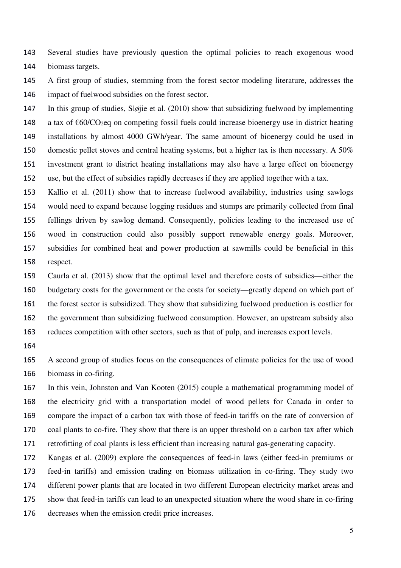Several studies have previously question the optimal policies to reach exogenous wood biomass targets.

A first group of studies, stemming from the forest sector modeling literature, addresses the impact of fuelwood subsidies on the forest sector.

In this group of studies, Sløjie et al*.* (2010) show that subsidizing fuelwood by implementing 148 a tax of  $\epsilon$ 60/CO<sub>2</sub>eq on competing fossil fuels could increase bioenergy use in district heating installations by almost 4000 GWh/year. The same amount of bioenergy could be used in domestic pellet stoves and central heating systems, but a higher tax is then necessary. A 50% investment grant to district heating installations may also have a large effect on bioenergy use, but the effect of subsidies rapidly decreases if they are applied together with a tax.

Kallio et al. (2011) show that to increase fuelwood availability, industries using sawlogs would need to expand because logging residues and stumps are primarily collected from final fellings driven by sawlog demand. Consequently, policies leading to the increased use of wood in construction could also possibly support renewable energy goals. Moreover, subsidies for combined heat and power production at sawmills could be beneficial in this respect.

- Caurla et al. (2013) show that the optimal level and therefore costs of subsidies—either the budgetary costs for the government or the costs for society—greatly depend on which part of the forest sector is subsidized. They show that subsidizing fuelwood production is costlier for the government than subsidizing fuelwood consumption. However, an upstream subsidy also reduces competition with other sectors, such as that of pulp, and increases export levels.
- 

A second group of studies focus on the consequences of climate policies for the use of wood biomass in co-firing.

In this vein, Johnston and Van Kooten (2015) couple a mathematical programming model of the electricity grid with a transportation model of wood pellets for Canada in order to compare the impact of a carbon tax with those of feed-in tariffs on the rate of conversion of coal plants to co-fire. They show that there is an upper threshold on a carbon tax after which retrofitting of coal plants is less efficient than increasing natural gas-generating capacity.

Kangas et al. (2009) explore the consequences of feed-in laws (either feed-in premiums or feed-in tariffs) and emission trading on biomass utilization in co-firing. They study two different power plants that are located in two different European electricity market areas and show that feed-in tariffs can lead to an unexpected situation where the wood share in co-firing decreases when the emission credit price increases.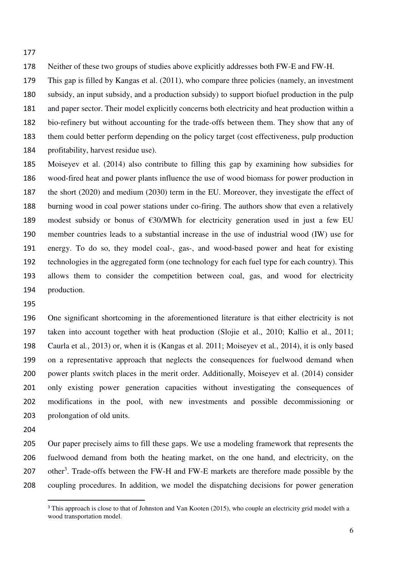Neither of these two groups of studies above explicitly addresses both FW-E and FW-H.

This gap is filled by Kangas et al. (2011), who compare three policies (namely, an investment

subsidy, an input subsidy, and a production subsidy) to support biofuel production in the pulp and paper sector. Their model explicitly concerns both electricity and heat production within a bio-refinery but without accounting for the trade-offs between them. They show that any of them could better perform depending on the policy target (cost effectiveness, pulp production

profitability, harvest residue use).

Moiseyev et al. (2014) also contribute to filling this gap by examining how subsidies for wood-fired heat and power plants influence the use of wood biomass for power production in the short (2020) and medium (2030) term in the EU. Moreover, they investigate the effect of burning wood in coal power stations under co-firing. The authors show that even a relatively 189 modest subsidy or bonus of  $\epsilon$ 30/MWh for electricity generation used in just a few EU member countries leads to a substantial increase in the use of industrial wood (IW) use for energy. To do so, they model coal-, gas-, and wood-based power and heat for existing technologies in the aggregated form (one technology for each fuel type for each country). This allows them to consider the competition between coal, gas, and wood for electricity production.

One significant shortcoming in the aforementioned literature is that either electricity is not taken into account together with heat production (Slojie et al., 2010; Kallio et al., 2011; Caurla et al*.*, 2013) or, when it is (Kangas et al. 2011; Moiseyev et al*.*, 2014), it is only based on a representative approach that neglects the consequences for fuelwood demand when power plants switch places in the merit order. Additionally, Moiseyev et al. (2014) consider only existing power generation capacities without investigating the consequences of modifications in the pool, with new investments and possible decommissioning or prolongation of old units.

 $\overline{a}$ 

Our paper precisely aims to fill these gaps. We use a modeling framework that represents the fuelwood demand from both the heating market, on the one hand, and electricity, on the 207 other<sup>3</sup>. Trade-offs between the FW-H and FW-E markets are therefore made possible by the coupling procedures. In addition, we model the dispatching decisions for power generation

<sup>&</sup>lt;sup>3</sup> This approach is close to that of Johnston and Van Kooten (2015), who couple an electricity grid model with a wood transportation model.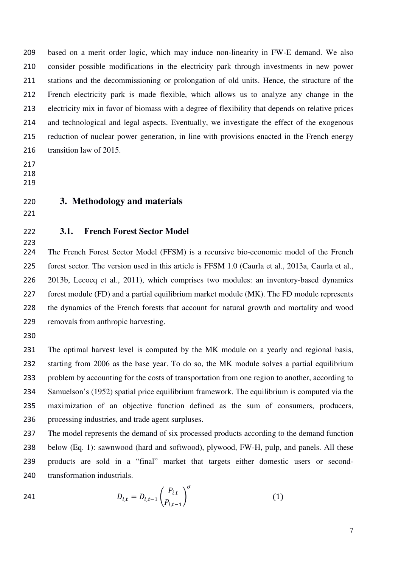based on a merit order logic, which may induce non-linearity in FW-E demand. We also consider possible modifications in the electricity park through investments in new power stations and the decommissioning or prolongation of old units. Hence, the structure of the French electricity park is made flexible, which allows us to analyze any change in the electricity mix in favor of biomass with a degree of flexibility that depends on relative prices and technological and legal aspects. Eventually, we investigate the effect of the exogenous reduction of nuclear power generation, in line with provisions enacted in the French energy 216 transition law of 2015.

- 
- 
- 
- **3. Methodology and materials**
- 
- 

## **3.1. French Forest Sector Model**

The French Forest Sector Model (FFSM) is a recursive bio-economic model of the French forest sector. The version used in this article is FFSM 1.0 (Caurla et al., 2013a, Caurla et al., 2013b, Lecocq et al., 2011), which comprises two modules: an inventory-based dynamics 227 forest module (FD) and a partial equilibrium market module (MK). The FD module represents the dynamics of the French forests that account for natural growth and mortality and wood removals from anthropic harvesting.

The optimal harvest level is computed by the MK module on a yearly and regional basis, starting from 2006 as the base year. To do so, the MK module solves a partial equilibrium problem by accounting for the costs of transportation from one region to another, according to Samuelson's (1952) spatial price equilibrium framework. The equilibrium is computed via the maximization of an objective function defined as the sum of consumers, producers, processing industries, and trade agent surpluses.

237 The model represents the demand of six processed products according to the demand function below (Eq. 1): sawnwood (hard and softwood), plywood, FW-H, pulp, and panels. All these products are sold in a "final" market that targets either domestic users or second-transformation industrials.

241 
$$
D_{i,t} = D_{i,t-1} \left( \frac{P_{i,t}}{P_{i,t-1}} \right)^{\sigma}
$$
 (1)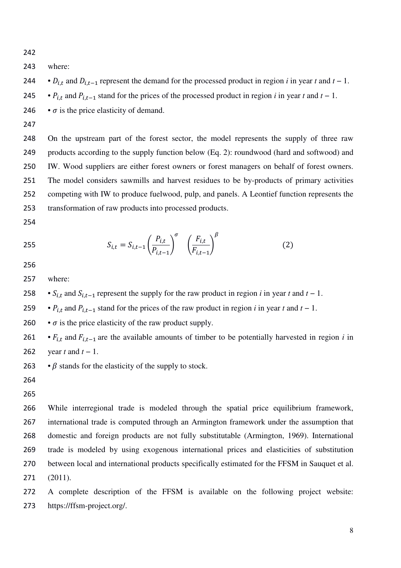where:

- 244  $D_{i,t}$  and  $D_{i,t-1}$  represent the demand for the processed product in region *i* in year *t* and *t* − 1.
- 245  $P_{i,t}$  and  $P_{i,t-1}$  stand for the prices of the processed product in region *i* in year *t* and *t* − 1.
- 246  $\sigma$  is the price elasticity of demand.
- 

On the upstream part of the forest sector, the model represents the supply of three raw products according to the supply function below (Eq. 2): roundwood (hard and softwood) and IW. Wood suppliers are either forest owners or forest managers on behalf of forest owners. The model considers sawmills and harvest residues to be by-products of primary activities competing with IW to produce fuelwood, pulp, and panels. A Leontief function represents the transformation of raw products into processed products.

255 
$$
S_{i,t} = S_{i,t-1} \left(\frac{P_{i,t}}{P_{i,t-1}}\right)^{\sigma} \left(\frac{F_{i,t}}{F_{i,t-1}}\right)^{\beta}
$$
 (2)

- 
- where:
- 258  $S_{i,t}$  and  $S_{i,t-1}$  represent the supply for the raw product in region *i* in year *t* and *t* − 1.

•  $P_{i,t}$  and  $P_{i,t-1}$  stand for the prices of the raw product in region *i* in year *t* and *t* − 1.

- 260  $\sigma$  is the price elasticity of the raw product supply.
- 261  $F_{i,t}$  and  $F_{i,t-1}$  are the available amounts of timber to be potentially harvested in region *i* in year *t* and *t* − 1.
- 263  $\beta$  stands for the elasticity of the supply to stock.
- 

While interregional trade is modeled through the spatial price equilibrium framework, international trade is computed through an Armington framework under the assumption that domestic and foreign products are not fully substitutable (Armington, 1969). International trade is modeled by using exogenous international prices and elasticities of substitution between local and international products specifically estimated for the FFSM in Sauquet et al. (2011).

A complete description of the FFSM is available on the following project website: https://ffsm-project.org/.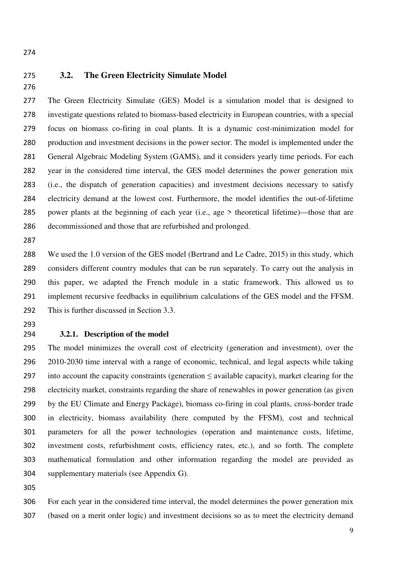- 
- 

## **3.2. The Green Electricity Simulate Model**

The Green Electricity Simulate (GES) Model is a simulation model that is designed to investigate questions related to biomass-based electricity in European countries, with a special focus on biomass co-firing in coal plants. It is a dynamic cost-minimization model for production and investment decisions in the power sector. The model is implemented under the General Algebraic Modeling System (GAMS), and it considers yearly time periods. For each year in the considered time interval, the GES model determines the power generation mix (i.e., the dispatch of generation capacities) and investment decisions necessary to satisfy electricity demand at the lowest cost. Furthermore, the model identifies the out-of-lifetime power plants at the beginning of each year (i.e., age > theoretical lifetime)—those that are decommissioned and those that are refurbished and prolonged.

We used the 1.0 version of the GES model (Bertrand and Le Cadre, 2015) in this study, which considers different country modules that can be run separately. To carry out the analysis in this paper, we adapted the French module in a static framework. This allowed us to implement recursive feedbacks in equilibrium calculations of the GES model and the FFSM. This is further discussed in Section 3.3.

## **3.2.1. Description of the model**

The model minimizes the overall cost of electricity (generation and investment), over the 2010-2030 time interval with a range of economic, technical, and legal aspects while taking 297 into account the capacity constraints (generation  $\leq$  available capacity), market clearing for the electricity market, constraints regarding the share of renewables in power generation (as given by the EU Climate and Energy Package), biomass co-firing in coal plants, cross-border trade in electricity, biomass availability (here computed by the FFSM), cost and technical parameters for all the power technologies (operation and maintenance costs, lifetime, investment costs, refurbishment costs, efficiency rates, etc.), and so forth. The complete mathematical formulation and other information regarding the model are provided as supplementary materials (see Appendix G).

For each year in the considered time interval, the model determines the power generation mix (based on a merit order logic) and investment decisions so as to meet the electricity demand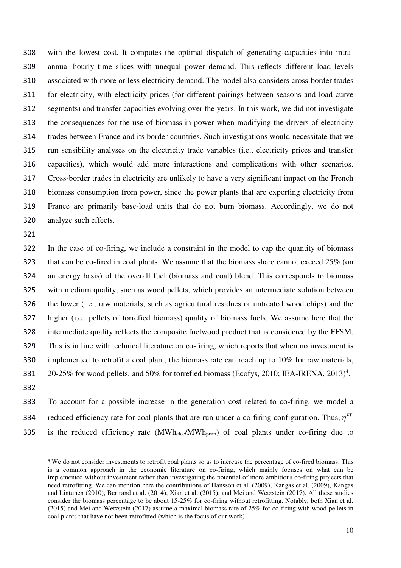with the lowest cost. It computes the optimal dispatch of generating capacities into intra-annual hourly time slices with unequal power demand. This reflects different load levels associated with more or less electricity demand. The model also considers cross-border trades for electricity, with electricity prices (for different pairings between seasons and load curve segments) and transfer capacities evolving over the years. In this work, we did not investigate the consequences for the use of biomass in power when modifying the drivers of electricity trades between France and its border countries. Such investigations would necessitate that we run sensibility analyses on the electricity trade variables (i.e., electricity prices and transfer capacities), which would add more interactions and complications with other scenarios. Cross-border trades in electricity are unlikely to have a very significant impact on the French biomass consumption from power, since the power plants that are exporting electricity from France are primarily base-load units that do not burn biomass. Accordingly, we do not analyze such effects.

In the case of co-firing, we include a constraint in the model to cap the quantity of biomass that can be co-fired in coal plants. We assume that the biomass share cannot exceed 25% (on an energy basis) of the overall fuel (biomass and coal) blend. This corresponds to biomass with medium quality, such as wood pellets, which provides an intermediate solution between the lower (i.e., raw materials, such as agricultural residues or untreated wood chips) and the higher (i.e., pellets of torrefied biomass) quality of biomass fuels. We assume here that the intermediate quality reflects the composite fuelwood product that is considered by the FFSM. This is in line with technical literature on co-firing, which reports that when no investment is implemented to retrofit a coal plant, the biomass rate can reach up to 10% for raw materials, 331 20-25% for wood pellets, and 50% for torrefied biomass (Ecofys, 2010; IEA-IRENA, 2013)<sup>4</sup>.

 $\overline{a}$ 

To account for a possible increase in the generation cost related to co-firing, we model a 334 reduced efficiency rate for coal plants that are run under a co-firing configuration. Thus,  $\eta^{cf}$ is the reduced efficiency rate (MWhelec/MWhprim) of coal plants under co-firing due to

<sup>&</sup>lt;sup>4</sup> We do not consider investments to retrofit coal plants so as to increase the percentage of co-fired biomass. This is a common approach in the economic literature on co-firing, which mainly focuses on what can be implemented without investment rather than investigating the potential of more ambitious co-firing projects that need retrofitting. We can mention here the contributions of Hansson et al. (2009), Kangas et al. (2009), Kangas and Lintunen (2010), Bertrand et al. (2014), Xian et al. (2015), and Mei and Wetzstein (2017). All these studies consider the biomass percentage to be about 15-25% for co-firing without retrofitting. Notably, both Xian et al. (2015) and Mei and Wetzstein (2017) assume a maximal biomass rate of 25% for co-firing with wood pellets in coal plants that have not been retrofitted (which is the focus of our work).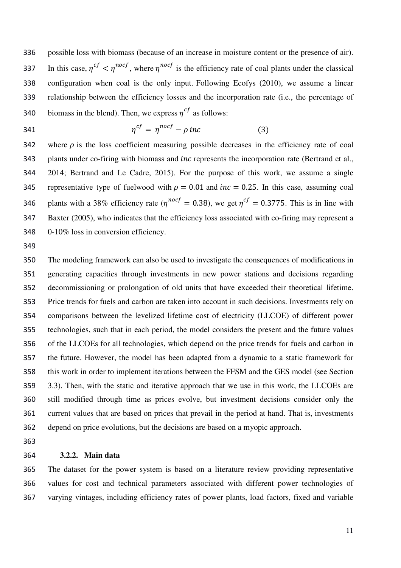possible loss with biomass (because of an increase in moisture content or the presence of air). 337 In this case,  $\eta^{cf} < \eta^{nocf}$ , where  $\eta^{nocf}$  is the efficiency rate of coal plants under the classical configuration when coal is the only input. Following Ecofys (2010), we assume a linear relationship between the efficiency losses and the incorporation rate (i.e., the percentage of 340 biomass in the blend). Then, we express  $\eta^{cf}$  as follows:

$$
\eta^{cf} = \eta^{nocf} - \rho \text{ inc} \tag{3}
$$

342 where  $\rho$  is the loss coefficient measuring possible decreases in the efficiency rate of coal 343 plants under co-firing with biomass and *inc* represents the incorporation rate (Bertrand et al., 2014; Bertrand and Le Cadre, 2015). For the purpose of this work, we assume a single 345 representative type of fuelwood with  $\rho = 0.01$  and  $inc = 0.25$ . In this case, assuming coal 346 plants with a 38% efficiency rate ( $\eta^{nocf} = 0.38$ ), we get  $\eta^{cf} = 0.3775$ . This is in line with Baxter (2005), who indicates that the efficiency loss associated with co-firing may represent a 0-10% loss in conversion efficiency.

The modeling framework can also be used to investigate the consequences of modifications in generating capacities through investments in new power stations and decisions regarding decommissioning or prolongation of old units that have exceeded their theoretical lifetime. Price trends for fuels and carbon are taken into account in such decisions. Investments rely on comparisons between the levelized lifetime cost of electricity (LLCOE) of different power technologies, such that in each period, the model considers the present and the future values of the LLCOEs for all technologies, which depend on the price trends for fuels and carbon in the future. However, the model has been adapted from a dynamic to a static framework for this work in order to implement iterations between the FFSM and the GES model (see Section 3.3). Then, with the static and iterative approach that we use in this work, the LLCOEs are still modified through time as prices evolve, but investment decisions consider only the current values that are based on prices that prevail in the period at hand. That is, investments depend on price evolutions, but the decisions are based on a myopic approach.

#### **3.2.2. Main data**

The dataset for the power system is based on a literature review providing representative values for cost and technical parameters associated with different power technologies of varying vintages, including efficiency rates of power plants, load factors, fixed and variable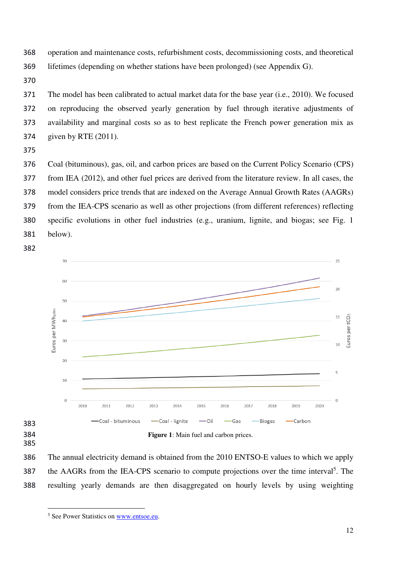operation and maintenance costs, refurbishment costs, decommissioning costs, and theoretical lifetimes (depending on whether stations have been prolonged) (see Appendix G).

The model has been calibrated to actual market data for the base year (i.e., 2010). We focused on reproducing the observed yearly generation by fuel through iterative adjustments of availability and marginal costs so as to best replicate the French power generation mix as given by RTE (2011).

Coal (bituminous), gas, oil, and carbon prices are based on the Current Policy Scenario (CPS) from IEA (2012), and other fuel prices are derived from the literature review. In all cases, the model considers price trends that are indexed on the Average Annual Growth Rates (AAGRs) from the IEA-CPS scenario as well as other projections (from different references) reflecting specific evolutions in other fuel industries (e.g., uranium, lignite, and biogas; see Fig. 1 below).





l

The annual electricity demand is obtained from the 2010 ENTSO-E values to which we apply the AAGRs from the IEA-CPS scenario to compute projections over the time interval<sup>5</sup>. The resulting yearly demands are then disaggregated on hourly levels by using weighting

<sup>&</sup>lt;sup>5</sup> See Power Statistics on www.entsoe.eu.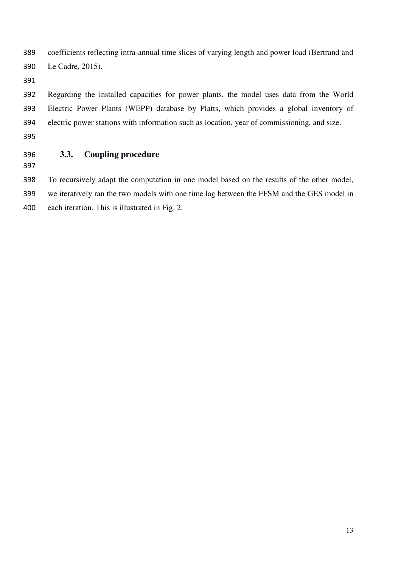coefficients reflecting intra-annual time slices of varying length and power load (Bertrand and Le Cadre, 2015).

Regarding the installed capacities for power plants, the model uses data from the World Electric Power Plants (WEPP) database by Platts, which provides a global inventory of electric power stations with information such as location, year of commissioning, and size.

## **3.3. Coupling procedure**

To recursively adapt the computation in one model based on the results of the other model,

we iteratively ran the two models with one time lag between the FFSM and the GES model in

each iteration. This is illustrated in Fig. 2.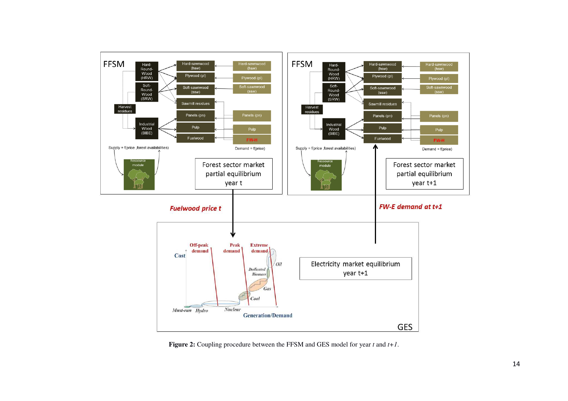

**Figure 2:** Coupling procedure between the FFSM and GES model for year *t* and *t+1*.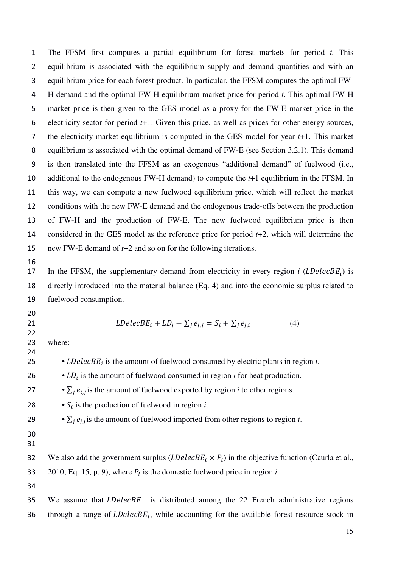The FFSM first computes a partial equilibrium for forest markets for period *t.* This equilibrium is associated with the equilibrium supply and demand quantities and with an equilibrium price for each forest product. In particular, the FFSM computes the optimal FW-H demand and the optimal FW-H equilibrium market price for period *t*. This optimal FW-H market price is then given to the GES model as a proxy for the FW-E market price in the electricity sector for period *t*+1. Given this price, as well as prices for other energy sources, the electricity market equilibrium is computed in the GES model for year *t*+1. This market equilibrium is associated with the optimal demand of FW-E (see Section 3.2.1). This demand is then translated into the FFSM as an exogenous "additional demand" of fuelwood (i.e., additional to the endogenous FW-H demand) to compute the *t*+1 equilibrium in the FFSM. In this way, we can compute a new fuelwood equilibrium price, which will reflect the market conditions with the new FW-E demand and the endogenous trade-offs between the production of FW-H and the production of FW-E. The new fuelwood equilibrium price is then considered in the GES model as the reference price for period *t*+2, which will determine the new FW-E demand of *t*+2 and so on for the following iterations.

17 In the FFSM, the supplementary demand from electricity in every region  $i$  (*LDelecBE<sub>i</sub>*) is directly introduced into the material balance (Eq. 4) and into the economic surplus related to fuelwood consumption.

- 
- 

$$
21 \qquad \qquad LDelecBE_i + LD_i + \sum_j e_{i,j} = S_i + \sum_j e_{j,i} \qquad \qquad (4)
$$

where:

| • <i>LDelecBE<sub>i</sub></i> is the amount of fuelwood consumed by electric plants in region <i>i</i> .<br>25 |  |
|----------------------------------------------------------------------------------------------------------------|--|
|----------------------------------------------------------------------------------------------------------------|--|

 $\bullet$  *LD<sub>i</sub>* is the amount of fuelwood consumed in region *i* for heat production.

 $\sum_i e_{i,j}$  is the amount of fuelwood exported by region *i* to other regions.

28 •  $S_i$  is the production of fuelwood in region *i*.

 $\bullet \sum_{j} e_{j,i}$  is the amount of fuelwood imported from other regions to region *i*.

 

32 We also add the government surplus  $(LDelecBE_i \times P_i)$  in the objective function (Caurla et al.,

2010; Eq. 15, p. 9), where  $P_i$  is the domestic fuelwood price in region *i*.

35 We assume that *LDelecBE* is distributed among the 22 French administrative regions 36 through a range of  $LDelecBE_i$ , while accounting for the available forest resource stock in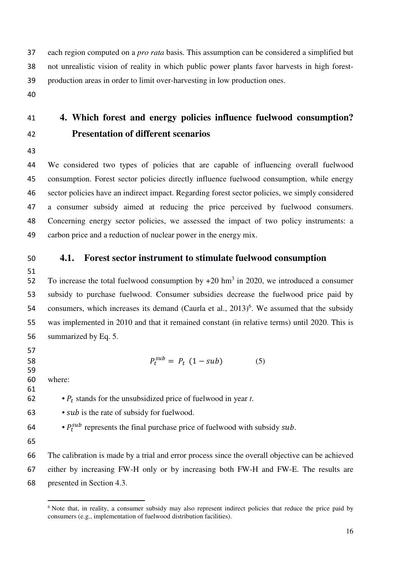each region computed on a *pro rata* basis. This assumption can be considered a simplified but not unrealistic vision of reality in which public power plants favor harvests in high forest-production areas in order to limit over-harvesting in low production ones.

- 
- 

# **4. Which forest and energy policies influence fuelwood consumption? Presentation of different scenarios**

We considered two types of policies that are capable of influencing overall fuelwood consumption. Forest sector policies directly influence fuelwood consumption, while energy sector policies have an indirect impact. Regarding forest sector policies, we simply considered a consumer subsidy aimed at reducing the price perceived by fuelwood consumers. Concerning energy sector policies, we assessed the impact of two policy instruments: a carbon price and a reduction of nuclear power in the energy mix.

## **4.1. Forest sector instrument to stimulate fuelwood consumption**

52 To increase the total fuelwood consumption by  $+20 \text{ hm}^3$  in 2020, we introduced a consumer subsidy to purchase fuelwood. Consumer subsidies decrease the fuelwood price paid by 54 consumers, which increases its demand (Caurla et al., )<sup>6</sup>. We assumed that the subsidy was implemented in 2010 and that it remained constant (in relative terms) until 2020. This is summarized by Eq. 5.

- 
- 

58  $P_t^{sub} = P_t (1 - sub)$  (5)

where:

 $\overline{a}$ 

 $\bullet$   $P_t$  stands for the unsubsidized price of fuelwood in year *t*.

63 •  $sub$  is the rate of subsidy for fuelwood.

64 •  $P_t^{sub}$  represents the final purchase price of fuelwood with subsidy sub.

The calibration is made by a trial and error process since the overall objective can be achieved either by increasing FW-H only or by increasing both FW-H and FW-E. The results are presented in Section 4.3.

<sup>&</sup>lt;sup>6</sup> Note that, in reality, a consumer subsidy may also represent indirect policies that reduce the price paid by consumers (e.g., implementation of fuelwood distribution facilities).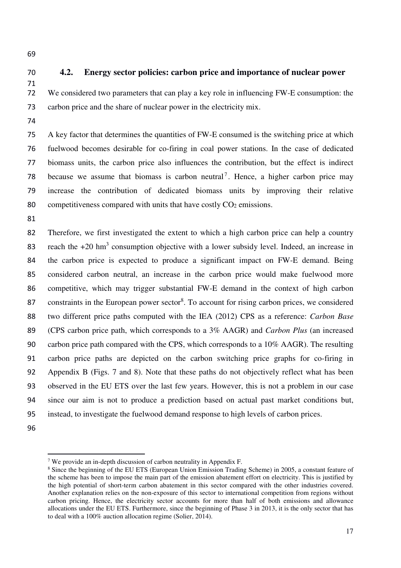## **4.2. Energy sector policies: carbon price and importance of nuclear power**

We considered two parameters that can play a key role in influencing FW-E consumption: the carbon price and the share of nuclear power in the electricity mix.

A key factor that determines the quantities of FW-E consumed is the switching price at which fuelwood becomes desirable for co-firing in coal power stations. In the case of dedicated biomass units, the carbon price also influences the contribution, but the effect is indirect 78 because we assume that biomass is carbon neutral<sup>7</sup>. Hence, a higher carbon price may increase the contribution of dedicated biomass units by improving their relative 80 competitiveness compared with units that have costly  $CO<sub>2</sub>$  emissions.

Therefore, we first investigated the extent to which a high carbon price can help a country 83 reach the  $+20$  hm<sup>3</sup> consumption objective with a lower subsidy level. Indeed, an increase in the carbon price is expected to produce a significant impact on FW-E demand. Being considered carbon neutral, an increase in the carbon price would make fuelwood more competitive, which may trigger substantial FW-E demand in the context of high carbon 87 constraints in the European power sector<sup>8</sup>. To account for rising carbon prices, we considered two different price paths computed with the IEA (2012) CPS as a reference: *Carbon Base* (CPS carbon price path, which corresponds to a 3% AAGR) and *Carbon Plus* (an increased carbon price path compared with the CPS, which corresponds to a 10% AAGR). The resulting carbon price paths are depicted on the carbon switching price graphs for co-firing in Appendix B (Figs. 7 and 8). Note that these paths do not objectively reflect what has been observed in the EU ETS over the last few years. However, this is not a problem in our case since our aim is not to produce a prediction based on actual past market conditions but, instead, to investigate the fuelwood demand response to high levels of carbon prices.

 $\overline{a}$ 

<sup>&</sup>lt;sup>7</sup> We provide an in-depth discussion of carbon neutrality in Appendix F.

<sup>&</sup>lt;sup>8</sup> Since the beginning of the EU ETS (European Union Emission Trading Scheme) in 2005, a constant feature of the scheme has been to impose the main part of the emission abatement effort on electricity. This is justified by the high potential of short-term carbon abatement in this sector compared with the other industries covered. Another explanation relies on the non-exposure of this sector to international competition from regions without carbon pricing. Hence, the electricity sector accounts for more than half of both emissions and allowance allocations under the EU ETS. Furthermore, since the beginning of Phase 3 in 2013, it is the only sector that has to deal with a 100% auction allocation regime (Solier, 2014).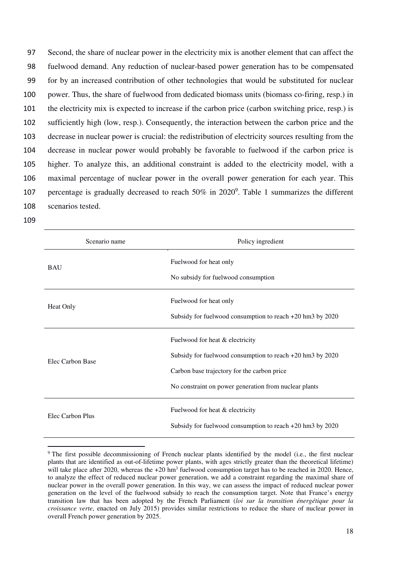Second, the share of nuclear power in the electricity mix is another element that can affect the fuelwood demand. Any reduction of nuclear-based power generation has to be compensated for by an increased contribution of other technologies that would be substituted for nuclear power. Thus, the share of fuelwood from dedicated biomass units (biomass co-firing, resp.) in the electricity mix is expected to increase if the carbon price (carbon switching price, resp.) is sufficiently high (low, resp.). Consequently, the interaction between the carbon price and the decrease in nuclear power is crucial: the redistribution of electricity sources resulting from the decrease in nuclear power would probably be favorable to fuelwood if the carbon price is higher. To analyze this, an additional constraint is added to the electricity model, with a maximal percentage of nuclear power in the overall power generation for each year. This 107 percentage is gradually decreased to reach  $50\%$  in  $2020^9$ . Table 1 summarizes the different scenarios tested.

109

l

| Scenario name    | Policy ingredient                                                                                                                                                                                      |
|------------------|--------------------------------------------------------------------------------------------------------------------------------------------------------------------------------------------------------|
| <b>BAU</b>       | Fuelwood for heat only<br>No subsidy for fuelwood consumption                                                                                                                                          |
| <b>Heat Only</b> | Fuelwood for heat only<br>Subsidy for fuelwood consumption to reach +20 hm3 by 2020                                                                                                                    |
| Elec Carbon Base | Fuelwood for heat & electricity<br>Subsidy for fuelwood consumption to reach $+20$ hm3 by 2020<br>Carbon base trajectory for the carbon price<br>No constraint on power generation from nuclear plants |
| Elec Carbon Plus | Fuelwood for heat & electricity<br>Subsidy for fuelwood consumption to reach +20 hm3 by 2020                                                                                                           |

<sup>&</sup>lt;sup>9</sup> The first possible decommissioning of French nuclear plants identified by the model (i.e., the first nuclear plants that are identified as out-of-lifetime power plants, with ages strictly greater than the theoretical lifetime) will take place after 2020, whereas the  $+20$  hm<sup>3</sup> fuelwood consumption target has to be reached in 2020. Hence, to analyze the effect of reduced nuclear power generation, we add a constraint regarding the maximal share of nuclear power in the overall power generation. In this way, we can assess the impact of reduced nuclear power generation on the level of the fuelwood subsidy to reach the consumption target. Note that France's energy transition law that has been adopted by the French Parliament (*loi sur la transition énergétique pour la croissance verte*, enacted on July 2015) provides similar restrictions to reduce the share of nuclear power in overall French power generation by 2025.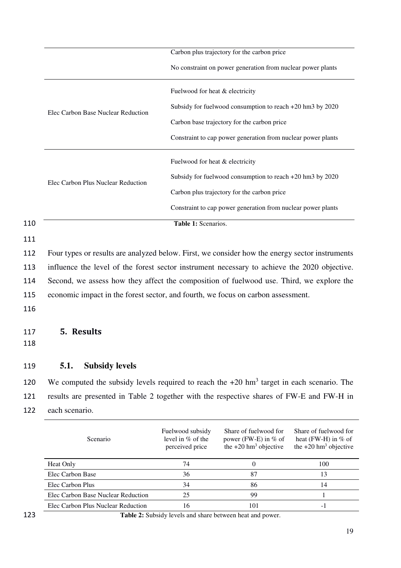|                                    | Carbon plus trajectory for the carbon price                  |  |  |
|------------------------------------|--------------------------------------------------------------|--|--|
|                                    | No constraint on power generation from nuclear power plants  |  |  |
|                                    | Fuelwood for heat & electricity                              |  |  |
| Elec Carbon Base Nuclear Reduction | Subsidy for fuelwood consumption to reach $+20$ hm3 by 2020  |  |  |
|                                    | Carbon base trajectory for the carbon price                  |  |  |
|                                    | Constraint to cap power generation from nuclear power plants |  |  |
|                                    | Fuelwood for heat & electricity                              |  |  |
| Elec Carbon Plus Nuclear Reduction | Subsidy for fuelwood consumption to reach +20 hm3 by 2020    |  |  |
|                                    | Carbon plus trajectory for the carbon price                  |  |  |
|                                    | Constraint to cap power generation from nuclear power plants |  |  |
| 110                                | Table 1: Scenarios.                                          |  |  |

Four types or results are analyzed below. First, we consider how the energy sector instruments influence the level of the forest sector instrument necessary to achieve the 2020 objective. Second, we assess how they affect the composition of fuelwood use. Third, we explore the economic impact in the forest sector, and fourth, we focus on carbon assessment.

116

## 117 **5. Results**

118

119 **5.1. Subsidy levels** 

120 We computed the subsidy levels required to reach the  $+20$  hm<sup>3</sup> target in each scenario. The 121 results are presented in Table 2 together with the respective shares of FW-E and FW-H in 122 each scenario.

| Scenario                           | Fuelwood subsidy<br>level in $\%$ of the<br>perceived price | Share of fuelwood for<br>power (FW-E) in $%$ of<br>the $+20$ hm <sup>3</sup> objective | Share of fuelwood for<br>heat (FW-H) in $%$ of<br>the $+20$ hm <sup>3</sup> objective |
|------------------------------------|-------------------------------------------------------------|----------------------------------------------------------------------------------------|---------------------------------------------------------------------------------------|
| Heat Only                          | 74                                                          |                                                                                        | 100                                                                                   |
| Elec Carbon Base                   | 36                                                          | 87                                                                                     | 13                                                                                    |
| Elec Carbon Plus                   | 34                                                          | 86                                                                                     | 14                                                                                    |
| Elec Carbon Base Nuclear Reduction | 25                                                          | 99                                                                                     |                                                                                       |
| Elec Carbon Plus Nuclear Reduction | 16                                                          | 101                                                                                    | - 1                                                                                   |

**Table 2:** Subsidy levels and share between heat and power.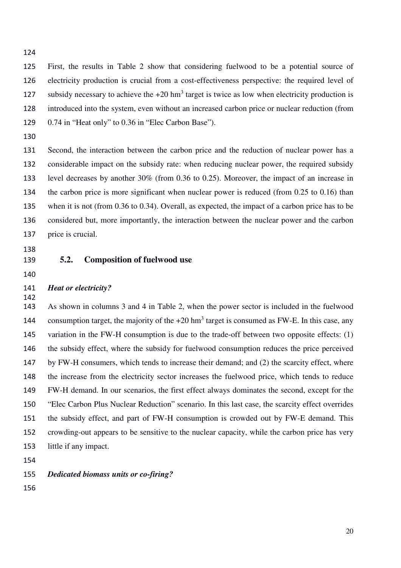First, the results in Table 2 show that considering fuelwood to be a potential source of electricity production is crucial from a cost-effectiveness perspective: the required level of subsidy necessary to achieve the  $+20 \text{ hm}^3$  target is twice as low when electricity production is introduced into the system, even without an increased carbon price or nuclear reduction (from 0.74 in "Heat only" to 0.36 in "Elec Carbon Base").

Second, the interaction between the carbon price and the reduction of nuclear power has a considerable impact on the subsidy rate: when reducing nuclear power, the required subsidy level decreases by another 30% (from 0.36 to 0.25). Moreover, the impact of an increase in 134 the carbon price is more significant when nuclear power is reduced (from 0.25 to 0.16) than when it is not (from 0.36 to 0.34). Overall, as expected, the impact of a carbon price has to be considered but, more importantly, the interaction between the nuclear power and the carbon price is crucial.

- 
- 

#### **5.2. Composition of fuelwood use**

## *Heat or electricity?*

As shown in columns 3 and 4 in Table 2, when the power sector is included in the fuelwood 144 consumption target, the majority of the  $+20 \text{ hm}^3$  target is consumed as FW-E. In this case, any variation in the FW-H consumption is due to the trade-off between two opposite effects: (1) the subsidy effect, where the subsidy for fuelwood consumption reduces the price perceived by FW-H consumers, which tends to increase their demand; and (2) the scarcity effect, where the increase from the electricity sector increases the fuelwood price, which tends to reduce FW-H demand. In our scenarios, the first effect always dominates the second, except for the "Elec Carbon Plus Nuclear Reduction" scenario. In this last case, the scarcity effect overrides the subsidy effect, and part of FW-H consumption is crowded out by FW-E demand. This crowding-out appears to be sensitive to the nuclear capacity, while the carbon price has very little if any impact.

#### *Dedicated biomass units or co-firing?*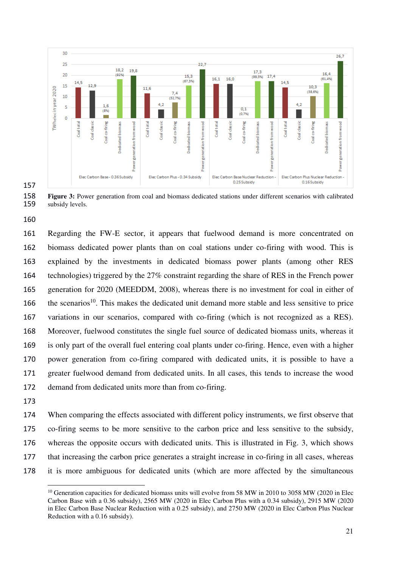

**Figure 3:** Power generation from coal and biomass dedicated stations under different scenarios with calibrated subsidy levels.

Regarding the FW-E sector, it appears that fuelwood demand is more concentrated on biomass dedicated power plants than on coal stations under co-firing with wood. This is explained by the investments in dedicated biomass power plants (among other RES technologies) triggered by the 27% constraint regarding the share of RES in the French power generation for 2020 (MEEDDM, 2008), whereas there is no investment for coal in either of the scenarios<sup>10</sup>. This makes the dedicated unit demand more stable and less sensitive to price variations in our scenarios, compared with co-firing (which is not recognized as a RES). Moreover, fuelwood constitutes the single fuel source of dedicated biomass units, whereas it is only part of the overall fuel entering coal plants under co-firing. Hence, even with a higher power generation from co-firing compared with dedicated units, it is possible to have a greater fuelwood demand from dedicated units. In all cases, this tends to increase the wood demand from dedicated units more than from co-firing.

l

When comparing the effects associated with different policy instruments, we first observe that co-firing seems to be more sensitive to the carbon price and less sensitive to the subsidy, whereas the opposite occurs with dedicated units. This is illustrated in Fig. 3, which shows that increasing the carbon price generates a straight increase in co-firing in all cases, whereas it is more ambiguous for dedicated units (which are more affected by the simultaneous

<sup>&</sup>lt;sup>10</sup> Generation capacities for dedicated biomass units will evolve from 58 MW in 2010 to 3058 MW (2020 in Elec Carbon Base with a 0.36 subsidy), 2565 MW (2020 in Elec Carbon Plus with a 0.34 subsidy), 2915 MW (2020 in Elec Carbon Base Nuclear Reduction with a 0.25 subsidy), and 2750 MW (2020 in Elec Carbon Plus Nuclear Reduction with a 0.16 subsidy).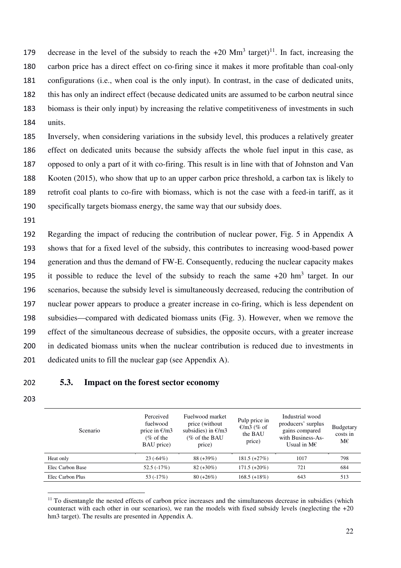179 decrease in the level of the subsidy to reach the  $+20$  Mm<sup>3</sup> target)<sup>11</sup>. In fact, increasing the carbon price has a direct effect on co-firing since it makes it more profitable than coal-only configurations (i.e., when coal is the only input). In contrast, in the case of dedicated units, this has only an indirect effect (because dedicated units are assumed to be carbon neutral since biomass is their only input) by increasing the relative competitiveness of investments in such 184 units.

Inversely, when considering variations in the subsidy level, this produces a relatively greater effect on dedicated units because the subsidy affects the whole fuel input in this case, as opposed to only a part of it with co-firing. This result is in line with that of Johnston and Van Kooten (2015), who show that up to an upper carbon price threshold, a carbon tax is likely to retrofit coal plants to co-fire with biomass, which is not the case with a feed-in tariff, as it specifically targets biomass energy, the same way that our subsidy does.

191

Regarding the impact of reducing the contribution of nuclear power, Fig. 5 in Appendix A shows that for a fixed level of the subsidy, this contributes to increasing wood-based power generation and thus the demand of FW-E. Consequently, reducing the nuclear capacity makes 195 it possible to reduce the level of the subsidy to reach the same  $+20$  hm<sup>3</sup> target. In our scenarios, because the subsidy level is simultaneously decreased, reducing the contribution of nuclear power appears to produce a greater increase in co-firing, which is less dependent on subsidies—compared with dedicated biomass units (Fig. 3). However, when we remove the effect of the simultaneous decrease of subsidies, the opposite occurs, with a greater increase in dedicated biomass units when the nuclear contribution is reduced due to investments in dedicated units to fill the nuclear gap (see Appendix A).

## 202 **5.3. Impact on the forest sector economy**

203

 $\overline{a}$ 

| Scenario         | Perceived<br>fuelwood<br>price in $\epsilon/m3$<br>$(\%$ of the<br>BAU price) | Fuelwood market<br>price (without)<br>subsidies) in $\epsilon/m3$<br>( $%$ of the BAU<br>price) | Pulp price in<br>€/m3 (% of<br>the BAU<br>price) | Industrial wood<br>producers' surplus<br>gains compared<br>with Business-As-<br>Usual in $M\epsilon$ | <b>Budgetary</b><br>costs in<br>M€ |
|------------------|-------------------------------------------------------------------------------|-------------------------------------------------------------------------------------------------|--------------------------------------------------|------------------------------------------------------------------------------------------------------|------------------------------------|
| Heat only        | $23(-64%)$                                                                    | $88 (+39\%)$                                                                                    | $181.5 (+27%)$                                   | 1017                                                                                                 | 798                                |
| Elec Carbon Base | $52.5(-17%)$                                                                  | $82 (+30\%)$                                                                                    | $171.5 (+20\%)$                                  | 721                                                                                                  | 684                                |
| Elec Carbon Plus | 53 $(-17%)$                                                                   | $80 (+26%)$                                                                                     | $168.5 (+18\%)$                                  | 643                                                                                                  | 513                                |

 $11$  To disentangle the nested effects of carbon price increases and the simultaneous decrease in subsidies (which counteract with each other in our scenarios), we ran the models with fixed subsidy levels (neglecting the  $+20$ hm3 target). The results are presented in Appendix A.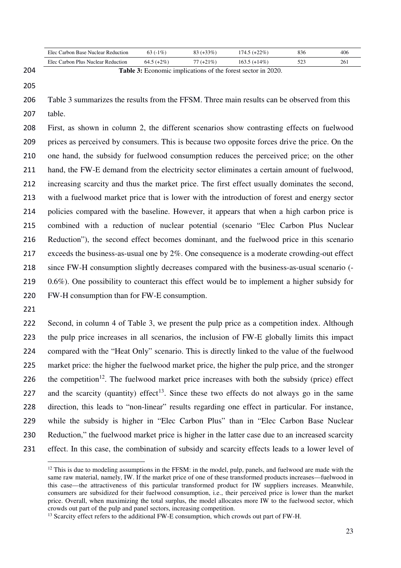| Elec<br>Carbon Base Nuclear Reduction | $3(-1\%)$     | $-33\%$       | $+22\%$  | 836   | 406 |
|---------------------------------------|---------------|---------------|----------|-------|-----|
| Elec Carbon Plus Nuclear Reduction    | $(+2\%$       | $-21\%$       | -14%     | یہ ہے | 261 |
| .                                     | $\sim$ $\sim$ | $\sim$ $\sim$ | $\cdots$ |       |     |

**Table 3:** Economic implications of the forest sector in 2020.

Table 3 summarizes the results from the FFSM. Three main results can be observed from this 207 table.

First, as shown in column 2, the different scenarios show contrasting effects on fuelwood prices as perceived by consumers. This is because two opposite forces drive the price. On the one hand, the subsidy for fuelwood consumption reduces the perceived price; on the other hand, the FW-E demand from the electricity sector eliminates a certain amount of fuelwood, increasing scarcity and thus the market price. The first effect usually dominates the second, with a fuelwood market price that is lower with the introduction of forest and energy sector policies compared with the baseline. However, it appears that when a high carbon price is combined with a reduction of nuclear potential (scenario "Elec Carbon Plus Nuclear Reduction"), the second effect becomes dominant, and the fuelwood price in this scenario exceeds the business-as-usual one by 2%. One consequence is a moderate crowding-out effect since FW-H consumption slightly decreases compared with the business-as-usual scenario (- 0.6%). One possibility to counteract this effect would be to implement a higher subsidy for FW-H consumption than for FW-E consumption.

l

Second, in column 4 of Table 3, we present the pulp price as a competition index. Although the pulp price increases in all scenarios, the inclusion of FW-E globally limits this impact compared with the "Heat Only" scenario. This is directly linked to the value of the fuelwood market price: the higher the fuelwood market price, the higher the pulp price, and the stronger 226 the competition<sup>12</sup>. The fuelwood market price increases with both the subsidy (price) effect 227 and the scarcity (quantity) effect<sup>13</sup>. Since these two effects do not always go in the same direction, this leads to "non-linear" results regarding one effect in particular. For instance, while the subsidy is higher in "Elec Carbon Plus" than in "Elec Carbon Base Nuclear Reduction," the fuelwood market price is higher in the latter case due to an increased scarcity effect. In this case, the combination of subsidy and scarcity effects leads to a lower level of

 This is due to modeling assumptions in the FFSM: in the model, pulp, panels, and fuelwood are made with the same raw material, namely, IW. If the market price of one of these transformed products increases—fuelwood in this case—the attractiveness of this particular transformed product for IW suppliers increases. Meanwhile, consumers are subsidized for their fuelwood consumption, i.e., their perceived price is lower than the market price. Overall, when maximizing the total surplus, the model allocates more IW to the fuelwood sector, which crowds out part of the pulp and panel sectors, increasing competition.

<sup>&</sup>lt;sup>13</sup> Scarcity effect refers to the additional FW-E consumption, which crowds out part of FW-H.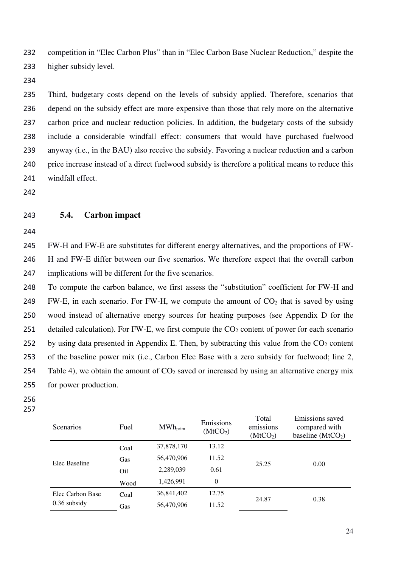232 competition in "Elec Carbon Plus" than in "Elec Carbon Base Nuclear Reduction," despite the 233 higher subsidy level.

234

Third, budgetary costs depend on the levels of subsidy applied. Therefore, scenarios that depend on the subsidy effect are more expensive than those that rely more on the alternative carbon price and nuclear reduction policies. In addition, the budgetary costs of the subsidy include a considerable windfall effect: consumers that would have purchased fuelwood anyway (i.e., in the BAU) also receive the subsidy. Favoring a nuclear reduction and a carbon price increase instead of a direct fuelwood subsidy is therefore a political means to reduce this windfall effect.

- 242
- 243 **5.4. Carbon impact**
- 244

245 FW-H and FW-E are substitutes for different energy alternatives, and the proportions of FW-246 H and FW-E differ between our five scenarios. We therefore expect that the overall carbon 247 implications will be different for the five scenarios.

248 To compute the carbon balance, we first assess the "substitution" coefficient for FW-H and 249 FW-E, in each scenario. For FW-H, we compute the amount of  $CO<sub>2</sub>$  that is saved by using 250 wood instead of alternative energy sources for heating purposes (see Appendix D for the 251 detailed calculation). For FW-E, we first compute the  $CO<sub>2</sub>$  content of power for each scenario 252 by using data presented in Appendix E. Then, by subtracting this value from the  $CO<sub>2</sub>$  content 253 of the baseline power mix (i.e., Carbon Elec Base with a zero subsidy for fuelwood; line 2, 254 Table 4), we obtain the amount of  $CO<sub>2</sub>$  saved or increased by using an alternative energy mix 255 for power production.

- 256
- 257

| <b>Scenarios</b>                   | Fuel            | $MWh_{prim}$ | Emissions<br>(MtCO <sub>2</sub> ) | Total<br>emissions<br>(MtCO <sub>2</sub> ) | Emissions saved<br>compared with<br>baseline ( $MtCO2$ ) |
|------------------------------------|-----------------|--------------|-----------------------------------|--------------------------------------------|----------------------------------------------------------|
| Elec Baseline                      | Coal            | 37,878,170   | 13.12                             |                                            |                                                          |
|                                    | Gas             | 56,470,906   | 11.52                             | 25.25                                      |                                                          |
|                                    | O <sub>il</sub> | 2,289,039    | 0.61                              |                                            | 0.00                                                     |
|                                    | Wood            | 1,426,991    | $\theta$                          |                                            |                                                          |
| Elec Carbon Base<br>$0.36$ subsidy | Coal            | 36,841,402   | 12.75                             | 24.87                                      | 0.38                                                     |
|                                    | Gas             | 56,470,906   | 11.52                             |                                            |                                                          |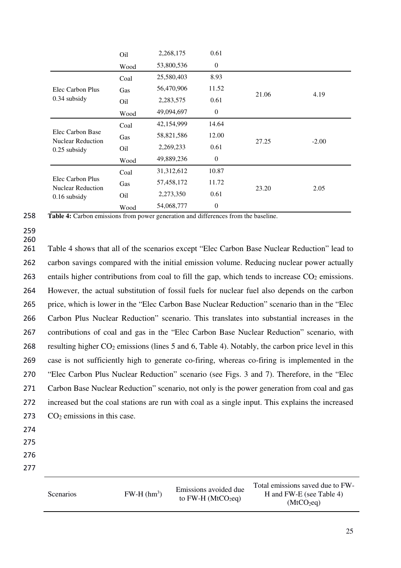|                                                                | O <sub>il</sub> | 2,268,175  | 0.61             |       |         |
|----------------------------------------------------------------|-----------------|------------|------------------|-------|---------|
|                                                                | Wood            | 53,800,536 | $\boldsymbol{0}$ |       |         |
|                                                                | Coal            | 25,580,403 | 8.93             |       |         |
| Elec Carbon Plus                                               | Gas             | 56,470,906 | 11.52            |       |         |
| $0.34$ subsidy                                                 | O <sub>il</sub> | 2,283,575  | 0.61             | 21.06 | 4.19    |
|                                                                | Wood            | 49,094,697 | $\boldsymbol{0}$ |       |         |
|                                                                | Coal            | 42,154,999 | 14.64            |       |         |
| Elec Carbon Base<br><b>Nuclear Reduction</b>                   | Gas             | 58,821,586 | 12.00            | 27.25 | $-2.00$ |
| $0.25$ subsidy                                                 | O <sub>il</sub> | 2,269,233  | 0.61             |       |         |
|                                                                | Wood            | 49,889,236 | $\boldsymbol{0}$ |       |         |
|                                                                | Coal            | 31,312,612 | 10.87            |       |         |
| Elec Carbon Plus<br><b>Nuclear Reduction</b><br>$0.16$ subsidy | Gas             | 57,458,172 | 11.72            | 23.20 | 2.05    |
|                                                                | Oil             | 2,273,350  | 0.61             |       |         |
|                                                                | Wood            | 54,068,777 | $\theta$         |       |         |

258 **Table 4:** Carbon emissions from power generation and differences from the baseline.

259

260

Table 4 shows that all of the scenarios except "Elec Carbon Base Nuclear Reduction" lead to carbon savings compared with the initial emission volume. Reducing nuclear power actually 263 entails higher contributions from coal to fill the gap, which tends to increase  $CO<sub>2</sub>$  emissions. However, the actual substitution of fossil fuels for nuclear fuel also depends on the carbon price, which is lower in the "Elec Carbon Base Nuclear Reduction" scenario than in the "Elec Carbon Plus Nuclear Reduction" scenario. This translates into substantial increases in the contributions of coal and gas in the "Elec Carbon Base Nuclear Reduction" scenario, with 268 resulting higher  $CO<sub>2</sub>$  emissions (lines 5 and 6, Table 4). Notably, the carbon price level in this case is not sufficiently high to generate co-firing, whereas co-firing is implemented in the "Elec Carbon Plus Nuclear Reduction" scenario (see Figs. 3 and 7). Therefore, in the "Elec Carbon Base Nuclear Reduction" scenario, not only is the power generation from coal and gas increased but the coal stations are run with coal as a single input. This explains the increased  $CO<sub>2</sub>$  emissions in this case. 274

275

- 276
- 277

| <b>Scenarios</b> | $FW-H (hm3)$ | Emissions avoided due<br>to $FW-H (MtCO_2eq)$ | Total emissions saved due to FW-<br>H and FW-E (see Table 4)<br>(MtCO <sub>2</sub> eq) |
|------------------|--------------|-----------------------------------------------|----------------------------------------------------------------------------------------|
|------------------|--------------|-----------------------------------------------|----------------------------------------------------------------------------------------|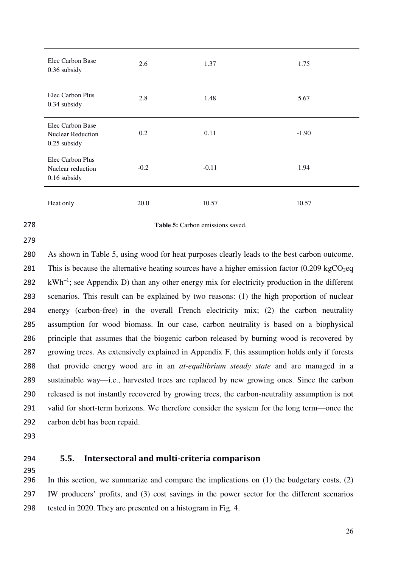| Elec Carbon Base<br>0.36 subsidy                             | 2.6    | 1.37    | 1.75    |
|--------------------------------------------------------------|--------|---------|---------|
| Elec Carbon Plus<br>0.34 subsidy                             | 2.8    | 1.48    | 5.67    |
| Elec Carbon Base<br><b>Nuclear Reduction</b><br>0.25 subsidy | 0.2    | 0.11    | $-1.90$ |
| Elec Carbon Plus<br>Nuclear reduction<br>$0.16$ subsidy      | $-0.2$ | $-0.11$ | 1.94    |
| Heat only                                                    | 20.0   | 10.57   | 10.57   |

278 **Table 5:** Carbon emissions saved.

279

As shown in Table 5, using wood for heat purposes clearly leads to the best carbon outcome. 281 This is because the alternative heating sources have a higher emission factor  $(0.209 \text{ kgCO}_2$ eq 282 kWh<sup>-1</sup>; see Appendix D) than any other energy mix for electricity production in the different scenarios. This result can be explained by two reasons: (1) the high proportion of nuclear energy (carbon-free) in the overall French electricity mix; (2) the carbon neutrality assumption for wood biomass. In our case, carbon neutrality is based on a biophysical principle that assumes that the biogenic carbon released by burning wood is recovered by growing trees. As extensively explained in Appendix F, this assumption holds only if forests that provide energy wood are in an *at-equilibrium steady state* and are managed in a sustainable way—i.e., harvested trees are replaced by new growing ones. Since the carbon released is not instantly recovered by growing trees, the carbon-neutrality assumption is not valid for short-term horizons. We therefore consider the system for the long term—once the carbon debt has been repaid.

293

295

## 294 **5.5. Intersectoral and multi-criteria comparison**

296 In this section, we summarize and compare the implications on (1) the budgetary costs, (2) 297 IW producers' profits, and (3) cost savings in the power sector for the different scenarios 298 tested in 2020. They are presented on a histogram in Fig. 4.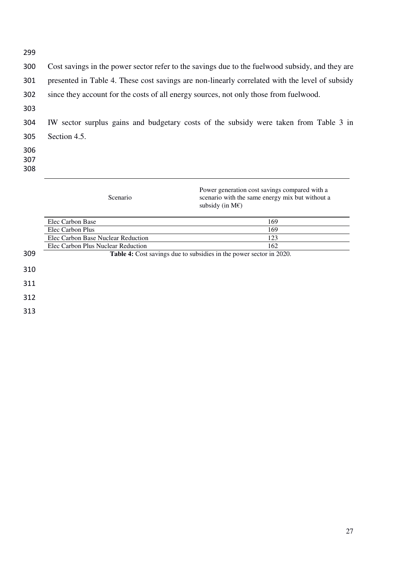Cost savings in the power sector refer to the savings due to the fuelwood subsidy, and they are presented in Table 4. These cost savings are non-linearly correlated with the level of subsidy since they account for the costs of all energy sources, not only those from fuelwood.

IW sector surplus gains and budgetary costs of the subsidy were taken from Table 3 in Section 4.5.

- 
- 
- 

| Scenario |
|----------|
|----------|

Power generation cost savings compared with a scenario with the same energy mix but without a subsidy (in M€)

|     | Elec Carbon Base                                                           | 169 |  |
|-----|----------------------------------------------------------------------------|-----|--|
|     | Elec Carbon Plus                                                           | 169 |  |
|     | Elec Carbon Base Nuclear Reduction                                         | 123 |  |
|     | Elec Carbon Plus Nuclear Reduction                                         | 162 |  |
| 309 | <b>Table 4:</b> Cost savings due to subsidies in the power sector in 2020. |     |  |
|     |                                                                            |     |  |
| 310 |                                                                            |     |  |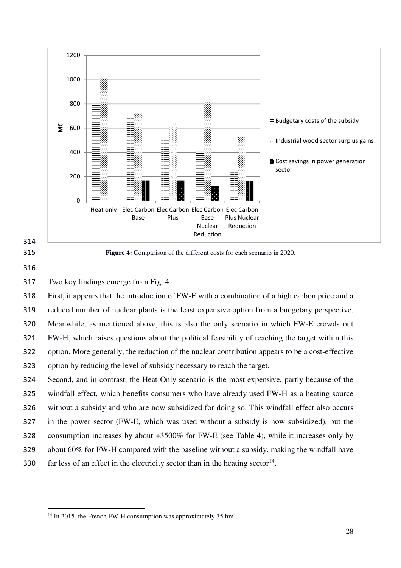



**Figure 4:** Comparison of the different costs for each scenario in 2020.

l

Two key findings emerge from Fig. 4.

First, it appears that the introduction of FW-E with a combination of a high carbon price and a reduced number of nuclear plants is the least expensive option from a budgetary perspective. Meanwhile, as mentioned above, this is also the only scenario in which FW-E crowds out FW-H, which raises questions about the political feasibility of reaching the target within this option. More generally, the reduction of the nuclear contribution appears to be a cost-effective option by reducing the level of subsidy necessary to reach the target.

Second, and in contrast, the Heat Only scenario is the most expensive, partly because of the windfall effect, which benefits consumers who have already used FW-H as a heating source without a subsidy and who are now subsidized for doing so. This windfall effect also occurs in the power sector (FW-E, which was used without a subsidy is now subsidized), but the consumption increases by about +3500% for FW-E (see Table 4), while it increases only by about 60% for FW-H compared with the baseline without a subsidy, making the windfall have 330 far less of an effect in the electricity sector than in the heating sector .

In 2015, the French FW-H consumption was approximately 35 hm<sup>3</sup>.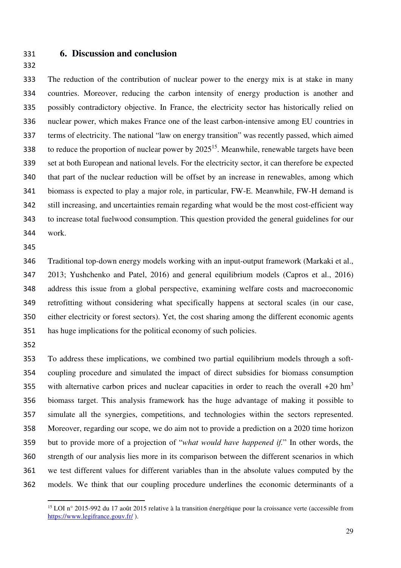## **6. Discussion and conclusion**

The reduction of the contribution of nuclear power to the energy mix is at stake in many countries. Moreover, reducing the carbon intensity of energy production is another and possibly contradictory objective. In France, the electricity sector has historically relied on nuclear power, which makes France one of the least carbon-intensive among EU countries in terms of electricity. The national "law on energy transition" was recently passed, which aimed 338 to reduce the proportion of nuclear power by  $2025^{15}$ . Meanwhile, renewable targets have been set at both European and national levels. For the electricity sector, it can therefore be expected that part of the nuclear reduction will be offset by an increase in renewables, among which biomass is expected to play a major role, in particular, FW-E. Meanwhile, FW-H demand is still increasing, and uncertainties remain regarding what would be the most cost-efficient way to increase total fuelwood consumption. This question provided the general guidelines for our work.

Traditional top-down energy models working with an input-output framework (Markaki et al., 2013; Yushchenko and Patel, 2016) and general equilibrium models (Capros et al., 2016) address this issue from a global perspective, examining welfare costs and macroeconomic retrofitting without considering what specifically happens at sectoral scales (in our case, either electricity or forest sectors). Yet, the cost sharing among the different economic agents has huge implications for the political economy of such policies.

 $\overline{a}$ 

To address these implications, we combined two partial equilibrium models through a soft-coupling procedure and simulated the impact of direct subsidies for biomass consumption 355 with alternative carbon prices and nuclear capacities in order to reach the overall  $+20$  hm<sup>3</sup> biomass target. This analysis framework has the huge advantage of making it possible to simulate all the synergies, competitions, and technologies within the sectors represented. Moreover, regarding our scope, we do aim not to provide a prediction on a 2020 time horizon but to provide more of a projection of "*what would have happened if.*" In other words, the strength of our analysis lies more in its comparison between the different scenarios in which we test different values for different variables than in the absolute values computed by the models. We think that our coupling procedure underlines the economic determinants of a

<sup>&</sup>lt;sup>15</sup> LOI n° 2015-992 du 17 août 2015 relative à la transition énergétique pour la croissance verte (accessible from https://www.legifrance.gouv.fr/ ).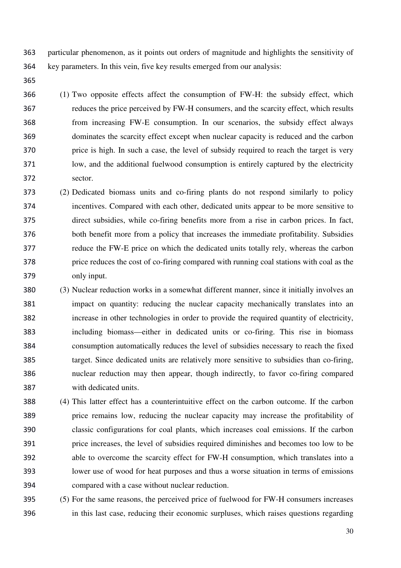particular phenomenon, as it points out orders of magnitude and highlights the sensitivity of key parameters. In this vein, five key results emerged from our analysis:

(1) Two opposite effects affect the consumption of FW-H: the subsidy effect, which reduces the price perceived by FW-H consumers, and the scarcity effect, which results from increasing FW-E consumption. In our scenarios, the subsidy effect always dominates the scarcity effect except when nuclear capacity is reduced and the carbon price is high. In such a case, the level of subsidy required to reach the target is very low, and the additional fuelwood consumption is entirely captured by the electricity sector.

- (2) Dedicated biomass units and co-firing plants do not respond similarly to policy incentives. Compared with each other, dedicated units appear to be more sensitive to direct subsidies, while co-firing benefits more from a rise in carbon prices. In fact, both benefit more from a policy that increases the immediate profitability. Subsidies reduce the FW-E price on which the dedicated units totally rely, whereas the carbon price reduces the cost of co-firing compared with running coal stations with coal as the only input.
- (3) Nuclear reduction works in a somewhat different manner, since it initially involves an impact on quantity: reducing the nuclear capacity mechanically translates into an increase in other technologies in order to provide the required quantity of electricity, including biomass—either in dedicated units or co-firing. This rise in biomass consumption automatically reduces the level of subsidies necessary to reach the fixed target. Since dedicated units are relatively more sensitive to subsidies than co-firing, nuclear reduction may then appear, though indirectly, to favor co-firing compared with dedicated units.
- (4) This latter effect has a counterintuitive effect on the carbon outcome. If the carbon price remains low, reducing the nuclear capacity may increase the profitability of classic configurations for coal plants, which increases coal emissions. If the carbon price increases, the level of subsidies required diminishes and becomes too low to be able to overcome the scarcity effect for FW-H consumption, which translates into a lower use of wood for heat purposes and thus a worse situation in terms of emissions compared with a case without nuclear reduction.
- (5) For the same reasons, the perceived price of fuelwood for FW-H consumers increases in this last case, reducing their economic surpluses, which raises questions regarding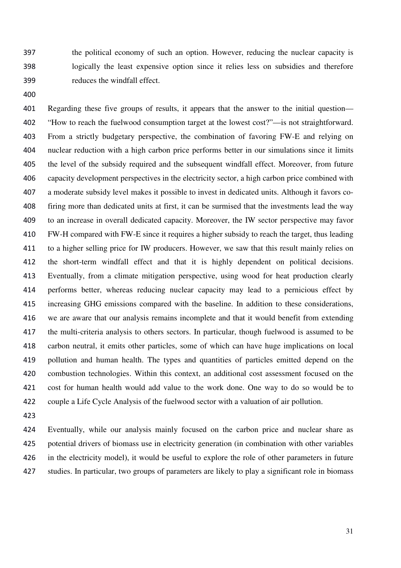the political economy of such an option. However, reducing the nuclear capacity is logically the least expensive option since it relies less on subsidies and therefore reduces the windfall effect.

Regarding these five groups of results, it appears that the answer to the initial question— "How to reach the fuelwood consumption target at the lowest cost?"—is not straightforward. From a strictly budgetary perspective, the combination of favoring FW-E and relying on nuclear reduction with a high carbon price performs better in our simulations since it limits the level of the subsidy required and the subsequent windfall effect. Moreover, from future capacity development perspectives in the electricity sector, a high carbon price combined with a moderate subsidy level makes it possible to invest in dedicated units. Although it favors co-firing more than dedicated units at first, it can be surmised that the investments lead the way to an increase in overall dedicated capacity. Moreover, the IW sector perspective may favor FW-H compared with FW-E since it requires a higher subsidy to reach the target, thus leading to a higher selling price for IW producers. However, we saw that this result mainly relies on the short-term windfall effect and that it is highly dependent on political decisions. Eventually, from a climate mitigation perspective, using wood for heat production clearly performs better, whereas reducing nuclear capacity may lead to a pernicious effect by increasing GHG emissions compared with the baseline. In addition to these considerations, we are aware that our analysis remains incomplete and that it would benefit from extending the multi-criteria analysis to others sectors. In particular, though fuelwood is assumed to be carbon neutral, it emits other particles, some of which can have huge implications on local pollution and human health. The types and quantities of particles emitted depend on the combustion technologies. Within this context, an additional cost assessment focused on the cost for human health would add value to the work done. One way to do so would be to couple a Life Cycle Analysis of the fuelwood sector with a valuation of air pollution.

Eventually, while our analysis mainly focused on the carbon price and nuclear share as potential drivers of biomass use in electricity generation (in combination with other variables in the electricity model), it would be useful to explore the role of other parameters in future studies. In particular, two groups of parameters are likely to play a significant role in biomass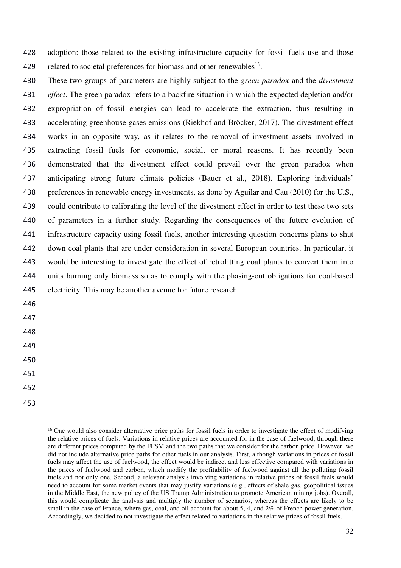adoption: those related to the existing infrastructure capacity for fossil fuels use and those 429 related to societal preferences for biomass and other renewables<sup>16</sup>.

These two groups of parameters are highly subject to the *green paradox* and the *divestment effect*. The green paradox refers to a backfire situation in which the expected depletion and/or expropriation of fossil energies can lead to accelerate the extraction, thus resulting in accelerating greenhouse gases emissions (Riekhof and Bröcker, 2017). The divestment effect works in an opposite way, as it relates to the removal of investment assets involved in extracting fossil fuels for economic, social, or moral reasons. It has recently been demonstrated that the divestment effect could prevail over the green paradox when anticipating strong future climate policies (Bauer et al., 2018). Exploring individuals' preferences in renewable energy investments, as done by Aguilar and Cau (2010) for the U.S., could contribute to calibrating the level of the divestment effect in order to test these two sets of parameters in a further study. Regarding the consequences of the future evolution of infrastructure capacity using fossil fuels, another interesting question concerns plans to shut down coal plants that are under consideration in several European countries. In particular, it would be interesting to investigate the effect of retrofitting coal plants to convert them into units burning only biomass so as to comply with the phasing-out obligations for coal-based electricity. This may be another avenue for future research.

- 
- 
- 
- 
- 
- 
- 
- 

 $\overline{a}$ <sup>16</sup> One would also consider alternative price paths for fossil fuels in order to investigate the effect of modifying the relative prices of fuels. Variations in relative prices are accounted for in the case of fuelwood, through there are different prices computed by the FFSM and the two paths that we consider for the carbon price. However, we did not include alternative price paths for other fuels in our analysis. First, although variations in prices of fossil fuels may affect the use of fuelwood, the effect would be indirect and less effective compared with variations in the prices of fuelwood and carbon, which modify the profitability of fuelwood against all the polluting fossil fuels and not only one. Second, a relevant analysis involving variations in relative prices of fossil fuels would need to account for some market events that may justify variations (e.g., effects of shale gas, geopolitical issues in the Middle East, the new policy of the US Trump Administration to promote American mining jobs). Overall, this would complicate the analysis and multiply the number of scenarios, whereas the effects are likely to be small in the case of France, where gas, coal, and oil account for about 5, 4, and 2% of French power generation. Accordingly, we decided to not investigate the effect related to variations in the relative prices of fossil fuels.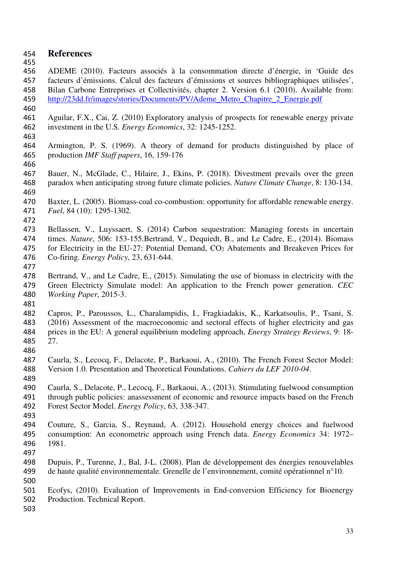## **References**

ADEME (2010). Facteurs associés à la consommation directe d'énergie, in 'Guide des facteurs d'émissions. Calcul des facteurs d'émissions et sources bibliographiques utilisées', Bilan Carbone Entreprises et Collectivités, chapter 2. Version 6.1 (2010). Available from: http://23dd.fr/images/stories/Documents/PV/Ademe\_Metro\_Chapitre\_2\_Energie.pdf

Aguilar, F.X., Cai, Z. (2010) Exploratory analysis of prospects for renewable energy private investment in the U.S. *Energy Economics*, 32: 1245-1252.

Armington, P. S. (1969). A theory of demand for products distinguished by place of production *IMF Staff papers*, 16, 159-176 

Bauer, N., McGlade, C., Hilaire, J., Ekins, P. (2018). Divestment prevails over the green paradox when anticipating strong future climate policies. *Nature Climate Change*, 8: 130-134. 

Baxter, L. (2005). Biomass-coal co-combustion: opportunity for affordable renewable energy. *Fuel*, 84 (10): 1295-1302.

Bellassen, V., Luyssaert, S. (2014) Carbon sequestration: Managing forests in uncertain times. *Nature*, 506: 153-155.Bertrand, V., Dequiedt, B., and Le Cadre, E., (2014). Biomass 475 for Electricity in the EU-27: Potential Demand,  $CO<sub>2</sub>$  Abatements and Breakeven Prices for Co-firing. *Energy Policy*, 23, 631-644.

Bertrand, V., and Le Cadre, E., (2015). Simulating the use of biomass in electricity with the Green Electricty Simulate model: An application to the French power generation. *CEC Working Paper*, 2015-3.

Capros, P., Paroussos, L., Charalampidis, I., Fragkiadakis, K., Karkatsoulis, P., Tsani, S. (2016) Assessment of the macroeconomic and sectoral effects of higher electricity and gas prices in the EU: A general equilibrium modeling approach, *Energy Strategy Reviews*, 9: 18- 27.

Caurla, S., Lecocq, F., Delacote, P., Barkaoui, A., (2010). The French Forest Sector Model: Version 1.0. Presentation and Theoretical Foundations. *Cahiers du LEF 2010-04*. 

Caurla, S., Delacote, P., Lecocq, F., Barkaoui, A., (2013). Stimulating fuelwood consumption through public policies: anassessment of economic and resource impacts based on the French Forest Sector Model. *Energy Policy*, 63, 338-347.

Couture, S., Garcia, S., Reynaud, A. (2012). Household energy choices and fuelwood consumption: An econometric approach using French data. *Energy Economics* 34: 1972– 1981. 

Dupuis, P., Turenne, J., Bal, J-L. (2008). Plan de développement des énergies renouvelables de haute qualité environnementale. Grenelle de l'environnement, comité opérationnel n°10.

 Ecofys, (2010). Evaluation of Improvements in End-conversion Efficiency for Bioenergy Production. Technical Report.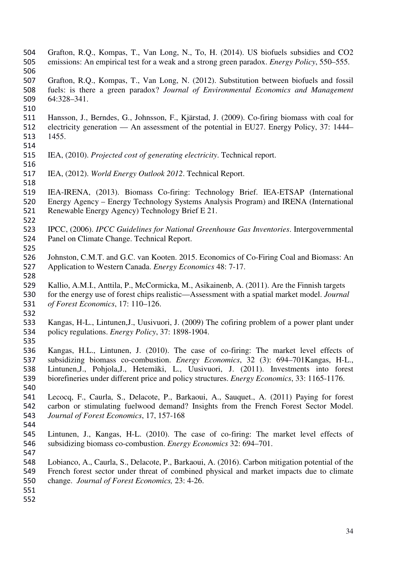| 504<br>505<br>506 | Grafton, R.Q., Kompas, T., Van Long, N., To, H. (2014). US biofuels subsidies and CO2<br>emissions: An empirical test for a weak and a strong green paradox. <i>Energy Policy</i> , 550–555. |
|-------------------|----------------------------------------------------------------------------------------------------------------------------------------------------------------------------------------------|
| 507               | Grafton, R.Q., Kompas, T., Van Long, N. (2012). Substitution between biofuels and fossil                                                                                                     |
| 508               | fuels: is there a green paradox? Journal of Environmental Economics and Management                                                                                                           |
| 509               | 64:328-341.                                                                                                                                                                                  |
| 510               |                                                                                                                                                                                              |
|                   |                                                                                                                                                                                              |
| 511               | Hansson, J., Berndes, G., Johnsson, F., Kjärstad, J. (2009). Co-firing biomass with coal for                                                                                                 |
| 512               | electricity generation — An assessment of the potential in EU27. Energy Policy, 37: 1444–                                                                                                    |
| 513               | 1455.                                                                                                                                                                                        |
| 514               |                                                                                                                                                                                              |
| 515               | IEA, (2010). Projected cost of generating electricity. Technical report.                                                                                                                     |
| 516               |                                                                                                                                                                                              |
| 517               | IEA, (2012). World Energy Outlook 2012. Technical Report.                                                                                                                                    |
| 518               |                                                                                                                                                                                              |
| 519               | IEA-IRENA, (2013). Biomass Co-firing: Technology Brief. IEA-ETSAP (International                                                                                                             |
| 520               | Energy Agency – Energy Technology Systems Analysis Program) and IRENA (International                                                                                                         |
| 521               | Renewable Energy Agency) Technology Brief E 21.                                                                                                                                              |
| 522               |                                                                                                                                                                                              |
| 523               | IPCC, (2006). IPCC Guidelines for National Greenhouse Gas Inventories. Intergovernmental                                                                                                     |
| 524               | Panel on Climate Change. Technical Report.                                                                                                                                                   |
| 525               |                                                                                                                                                                                              |
| 526               | Johnston, C.M.T. and G.C. van Kooten. 2015. Economics of Co-Firing Coal and Biomass: An                                                                                                      |
| 527               | Application to Western Canada. <i>Energy Economics</i> 48: 7-17.                                                                                                                             |
| 528               |                                                                                                                                                                                              |
| 529               | Kallio, A.M.I., Anttila, P., McCormicka, M., Asikainenb, A. (2011). Are the Finnish targets                                                                                                  |
| 530               | for the energy use of forest chips realistic—Assessment with a spatial market model. Journal                                                                                                 |
| 531               | of Forest Economics, 17: 110-126.                                                                                                                                                            |
| 532               |                                                                                                                                                                                              |
| 533               | Kangas, H-L., Lintunen, J., Uusivuori, J. (2009) The cofiring problem of a power plant under                                                                                                 |
| 534               | policy regulations. <i>Energy Policy</i> , 37: 1898-1904.                                                                                                                                    |
| 535               |                                                                                                                                                                                              |
| 536               | Kangas, H.L., Lintunen, J. (2010). The case of co-firing: The market level effects of                                                                                                        |
| 537               | subsidizing biomass co-combustion. <i>Energy Economics</i> , 32 (3): 694-701Kangas, H-L.,                                                                                                    |
| 538               | Lintunen, J., Pohjola, J., Hetemäki, L., Uusivuori, J. (2011). Investments into forest                                                                                                       |
|                   |                                                                                                                                                                                              |
| 539               | biorefineries under different price and policy structures. <i>Energy Economics</i> , 33: 1165-1176.                                                                                          |
| 540               |                                                                                                                                                                                              |
| 541               | Lecocq, F., Caurla, S., Delacote, P., Barkaoui, A., Sauquet., A. (2011) Paying for forest                                                                                                    |
| 542               | carbon or stimulating fuelwood demand? Insights from the French Forest Sector Model.                                                                                                         |
| 543               | Journal of Forest Economics, 17, 157-168                                                                                                                                                     |
| 544               |                                                                                                                                                                                              |
| 545               | Lintunen, J., Kangas, H-L. (2010). The case of co-firing: The market level effects of                                                                                                        |
| 546               | subsidizing biomass co-combustion. <i>Energy Economics</i> 32: 694–701.                                                                                                                      |
| 547               |                                                                                                                                                                                              |
| 548               | Lobianco, A., Caurla, S., Delacote, P., Barkaoui, A. (2016). Carbon mitigation potential of the                                                                                              |
| 549               | French forest sector under threat of combined physical and market impacts due to climate                                                                                                     |
| 550               | change. Journal of Forest Economics, 23: 4-26.                                                                                                                                               |
| 551               |                                                                                                                                                                                              |
| 552               |                                                                                                                                                                                              |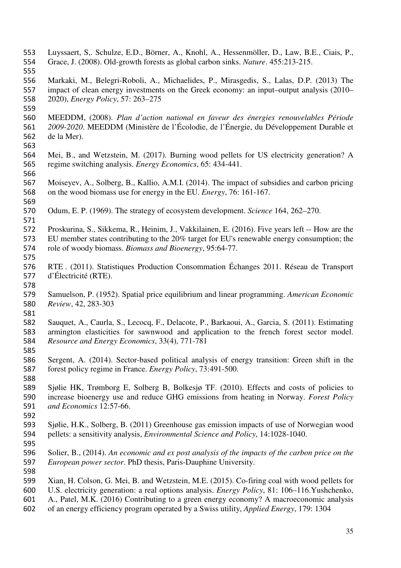Grace, J. (2008). Old-growth forests as global carbon sinks. *Nature*. 455:213-215. Markaki, M., Belegri-Roboli, A., Michaelides, P., Mirasgedis, S., Lalas, D.P. (2013) The impact of clean energy investments on the Greek economy: an input–output analysis (2010– 2020), *Energy Policy*, 57: 263–275 MEEDDM, (2008). *Plan d'action national en faveur des énergies renouvelables Période 2009-2020*. MEEDDM (Ministère de l'Écolodie, de l'Énergie, du Développement Durable et de la Mer). Mei, B., and Wetzstein, M. (2017). Burning wood pellets for US electricity generation? A regime switching analysis. *Energy Economics*, 65: 434-441. Moiseyev, A., Solberg, B., Kallio, A.M.I. (2014). The impact of subsidies and carbon pricing on the wood biomass use for energy in the EU. *Energy*, 76: 161-167. Odum, E. P. (1969). The strategy of ecosystem development. *Science* 164, 262–270. Proskurina, S., Sikkema, R., Heinim, J., Vakkilainen, E. (2016). Five years left -- How are the EU member states contributing to the 20% target for EU's renewable energy consumption; the role of woody biomass. *Biomass and Bioenergy*, 95:64-77. RTE . (2011). Statistiques Production Consommation Échanges 2011. Réseau de Transport d'Électricité (RTE). Samuelson, P. (1952). Spatial price equilibrium and linear programming. *American Economic Review*, 42, 283-303 Sauquet, A., Caurla, S., Lecocq, F., Delacote, P., Barkaoui, A., Garcia, S. (2011). Estimating armington elasticities for sawnwood and application to the french forest sector model. *Resource and Energy Economics*, 33(4), 771-781 Sergent, A. (2014). Sector-based political analysis of energy transition: Green shift in the forest policy regime in France. *Energy Policy*, 73:491-500. Sjølie HK, Trømborg E, Solberg B, Bolkesjø TF. (2010). Effects and costs of policies to increase bioenergy use and reduce GHG emissions from heating in Norway. *Forest Policy and Economics* 12:57-66. Sjølie, H.K., Solberg, B. (2011) Greenhouse gas emission impacts of use of Norwegian wood pellets: a sensitivity analysis, *Environmental Science and Policy*, 14:1028-1040. Solier, B., (2014). *An economic and ex post analysis of the impacts of the carbon price on the European power sector*. PhD thesis, Paris-Dauphine University. Xian, H. Colson, G. Mei, B. and Wetzstein, M.E. (2015). Co-firing coal with wood pellets for U.S. electricity generation: a real options analysis. *Energy Policy*, 81: 106–116.Yushchenko, A., Patel, M.K. (2016) Contributing to a green energy economy? A macroeconomic analysis of an energy efficiency program operated by a Swiss utility, *Applied Energy*, 179: 1304

Luyssaert, S,. Schulze, E.D., Börner, A., Knohl, A., Hessenmöller, D., Law, B.E., Ciais, P.,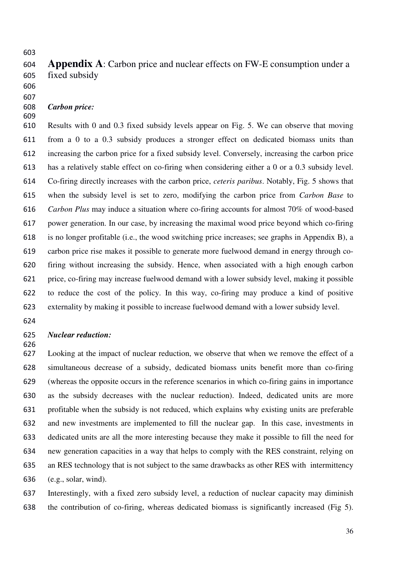## **Appendix A**: Carbon price and nuclear effects on FW-E consumption under a fixed subsidy

 

#### *Carbon price:*

Results with 0 and 0.3 fixed subsidy levels appear on Fig. 5. We can observe that moving from a 0 to a 0.3 subsidy produces a stronger effect on dedicated biomass units than increasing the carbon price for a fixed subsidy level. Conversely, increasing the carbon price has a relatively stable effect on co-firing when considering either a 0 or a 0.3 subsidy level. Co-firing directly increases with the carbon price, *ceteris paribus*. Notably, Fig. 5 shows that when the subsidy level is set to zero, modifying the carbon price from *Carbon Base* to *Carbon Plus* may induce a situation where co-firing accounts for almost 70% of wood-based power generation. In our case, by increasing the maximal wood price beyond which co-firing is no longer profitable (i.e., the wood switching price increases; see graphs in Appendix B), a carbon price rise makes it possible to generate more fuelwood demand in energy through co-firing without increasing the subsidy. Hence, when associated with a high enough carbon price, co-firing may increase fuelwood demand with a lower subsidy level, making it possible to reduce the cost of the policy. In this way, co-firing may produce a kind of positive externality by making it possible to increase fuelwood demand with a lower subsidy level.

#### *Nuclear reduction:*

Looking at the impact of nuclear reduction, we observe that when we remove the effect of a simultaneous decrease of a subsidy, dedicated biomass units benefit more than co-firing (whereas the opposite occurs in the reference scenarios in which co-firing gains in importance as the subsidy decreases with the nuclear reduction). Indeed, dedicated units are more profitable when the subsidy is not reduced, which explains why existing units are preferable and new investments are implemented to fill the nuclear gap. In this case, investments in dedicated units are all the more interesting because they make it possible to fill the need for new generation capacities in a way that helps to comply with the RES constraint, relying on an RES technology that is not subject to the same drawbacks as other RES with intermittency (e.g., solar, wind).

## Interestingly, with a fixed zero subsidy level, a reduction of nuclear capacity may diminish the contribution of co-firing, whereas dedicated biomass is significantly increased (Fig 5).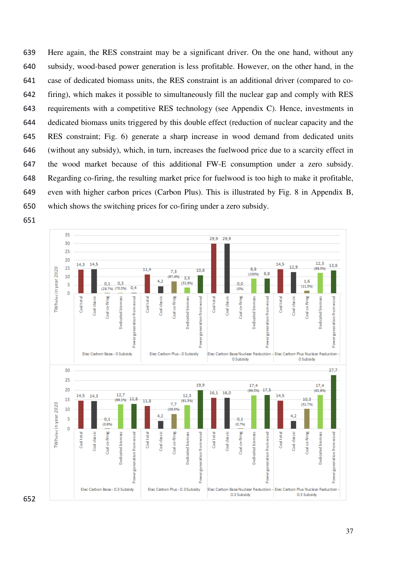Here again, the RES constraint may be a significant driver. On the one hand, without any subsidy, wood-based power generation is less profitable. However, on the other hand, in the case of dedicated biomass units, the RES constraint is an additional driver (compared to co-firing), which makes it possible to simultaneously fill the nuclear gap and comply with RES requirements with a competitive RES technology (see Appendix C). Hence, investments in dedicated biomass units triggered by this double effect (reduction of nuclear capacity and the RES constraint; Fig. 6) generate a sharp increase in wood demand from dedicated units (without any subsidy), which, in turn, increases the fuelwood price due to a scarcity effect in the wood market because of this additional FW-E consumption under a zero subsidy. Regarding co-firing, the resulting market price for fuelwood is too high to make it profitable, even with higher carbon prices (Carbon Plus). This is illustrated by Fig. 8 in Appendix B, which shows the switching prices for co-firing under a zero subsidy.



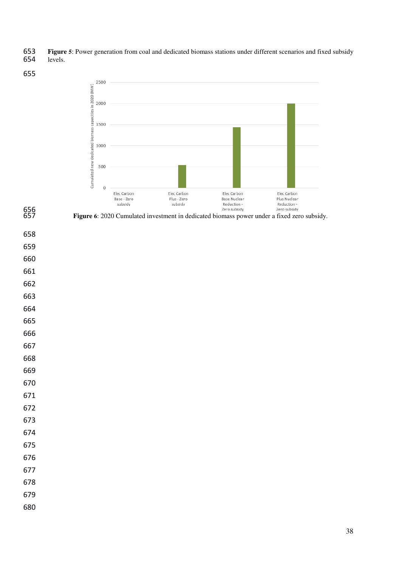# **Figure 5**: Power generation from coal and dedicated biomass stations under different scenarios and fixed subsidy levels.

levels.

#### 





Figure 6: 2020 Cumulated investment in dedicated biomass power under a fixed zero subsidy.

- 
- 
-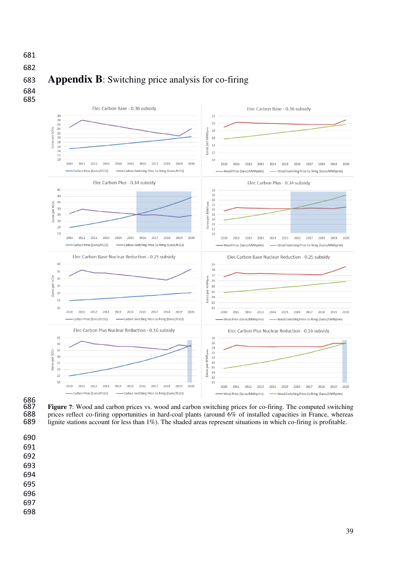## **Appendix B**: Switching price analysis for co-firing





**Figure 7:** Wood and carbon prices vs. wood and carbon switching prices for co-firing. The computed switching 688 prices reflect co-firing opportunities in hard-coal plants (around  $6\%$  of installed capacities in France, whereas 689 lignite stations account for less than  $1\%$ ). The shaded areas represent situations in which colignite stations account for less than  $1\%$ ). The shaded areas represent situations in which co-firing is profitable.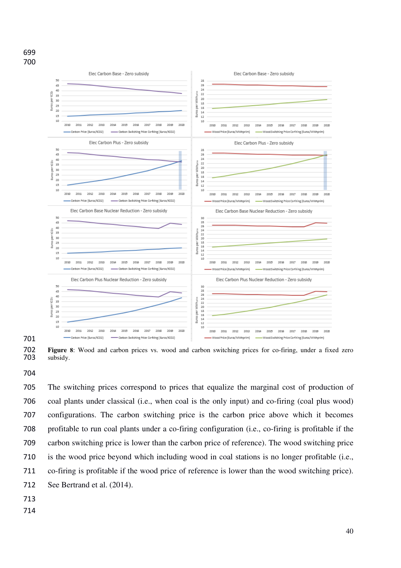



**Figure 8**: Wood and carbon prices vs. wood and carbon switching prices for co-firing, under a fixed zero subsidy.

The switching prices correspond to prices that equalize the marginal cost of production of coal plants under classical (i.e., when coal is the only input) and co-firing (coal plus wood) configurations. The carbon switching price is the carbon price above which it becomes profitable to run coal plants under a co-firing configuration (i.e., co-firing is profitable if the carbon switching price is lower than the carbon price of reference). The wood switching price is the wood price beyond which including wood in coal stations is no longer profitable (i.e., co-firing is profitable if the wood price of reference is lower than the wood switching price). 712 See Bertrand et al. (2014).

- 
-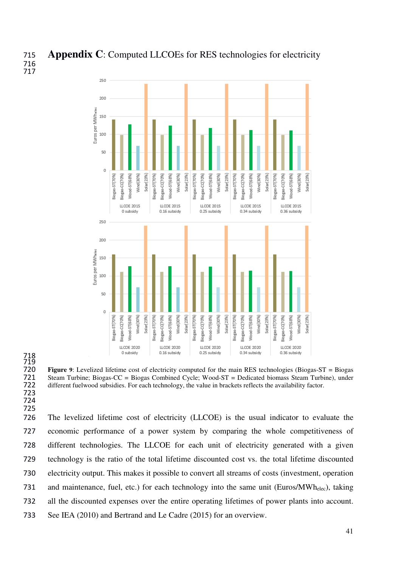## **Appendix C**: Computed LLCOEs for RES technologies for electricity

 



 **Figure 9**: Levelized lifetime cost of electricity computed for the main RES technologies (Biogas-ST = Biogas 721 Steam Turbine; Biogas-CC = Biogas Combined Cycle; Wood-ST = Dedicated biomass Steam Turbine), under 721 Steam Turbine; Biogas-CC = Biogas Combined Cycle; Wood-ST = Dedicated biomass Steam Turbine), under<br>722 different fuelwood subsidies. For each technology, the value in brackets reflects the availability factor. different fuelwood subsidies. For each technology, the value in brackets reflects the availability factor.

The levelized lifetime cost of electricity (LLCOE) is the usual indicator to evaluate the economic performance of a power system by comparing the whole competitiveness of different technologies. The LLCOE for each unit of electricity generated with a given technology is the ratio of the total lifetime discounted cost vs. the total lifetime discounted electricity output. This makes it possible to convert all streams of costs (investment, operation and maintenance, fuel, etc.) for each technology into the same unit (Euros/MWhelec), taking all the discounted expenses over the entire operating lifetimes of power plants into account. See IEA (2010) and Bertrand and Le Cadre (2015) for an overview.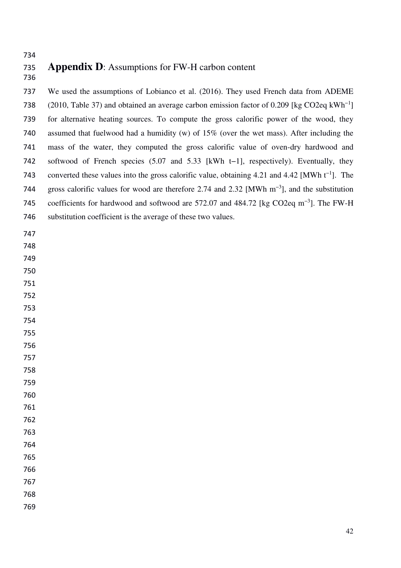```
734
```
## **Appendix D**: Assumptions for FW-H carbon content

We used the assumptions of Lobianco et al. (2016). They used French data from ADEME 738 (2010, Table 37) and obtained an average carbon emission factor of 0.209 [kg CO2eq kWh<sup>-1</sup>] for alternative heating sources. To compute the gross calorific power of the wood, they assumed that fuelwood had a humidity (w) of 15% (over the wet mass). After including the mass of the water, they computed the gross calorific value of oven-dry hardwood and softwood of French species (5.07 and 5.33 [kWh t−1], respectively). Eventually, they 743 converted these values into the gross calorific value, obtaining 4.21 and 4.42 [MWh t<sup>-1</sup>]. The 744 gross calorific values for wood are therefore 2.74 and 2.32 [MWh  $m^{-3}$ ], and the substitution 745 coefficients for hardwood and softwood are 572.07 and 484.72 [kg CO2eq m<sup>-3</sup>]. The FW-H substitution coefficient is the average of these two values.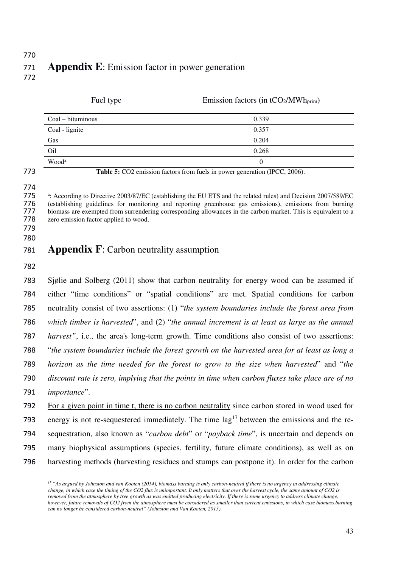# 770 771 **Appendix E**: Emission factor in power generation

772

Fuel type Emission factors (in  $tCO<sub>2</sub>/MWh_{\text{prim}}$ )

| $Coal - bituminous$ | 0.339 |
|---------------------|-------|
| Coal - lignite      | 0.357 |
| Gas                 | 0.204 |
| Oil                 | 0.268 |
| Wood <sup>a</sup>   | 0     |

773 **Table 5:** CO2 emission factors from fuels in power generation (IPCC, 2006).

#### 774

<sup>a</sup>: According to Directive 2003/87/EC (establishing the EU ETS and the related rules) and Decision 2007/589/EC<br>776 (establishing guidelines for monitoring and reporting greenhouse gas emissions), emissions from burning 776 (establishing guidelines for monitoring and reporting greenhouse gas emissions), emissions from burning 777 biomass are exempted from surrendering corresponding allowances in the carbon market. This is equivalent to a 777 biomass are exempted from surrendering corresponding allowances in the carbon market. This is equivalent to a<br>778 zero emission factor applied to wood. zero emission factor applied to wood.

779 780

## 781 **Appendix F**: Carbon neutrality assumption

782

 $\overline{a}$ 

Sjølie and Solberg (2011) show that carbon neutrality for energy wood can be assumed if either "time conditions" or "spatial conditions" are met. Spatial conditions for carbon neutrality consist of two assertions: (1) "*the system boundaries include the forest area from which timber is harvested*", and (2) "*the annual increment is at least as large as the annual harvest"*, i.e., the area's long-term growth. Time conditions also consist of two assertions: "*the system boundaries include the forest growth on the harvested area for at least as long a horizon as the time needed for the forest to grow to the size when harvested*" and "*the discount rate is zero, implying that the points in time when carbon fluxes take place are of no importance*". For a given point in time t, there is no carbon neutrality since carbon stored in wood used for 793 energy is not re-sequestered immediately. The time  $\log^{17}$  between the emissions and the re-

794 sequestration, also known as "*carbon debt*" or "*payback time*", is uncertain and depends on 795 many biophysical assumptions (species, fertility, future climate conditions), as well as on

796 harvesting methods (harvesting residues and stumps can postpone it). In order for the carbon

*<sup>17</sup> "As argued by Johnston and van Kooten (2014), biomass burning is only carbon-neutral if there is no urgency in addressing climate change, in which case the timing of the CO2 flux is unimportant. It only matters that over the harvest cycle, the same amount of CO2 is removed from the atmosphere by tree growth as was emitted producing electricity. If there is some urgency to address climate change, however, future removals of CO2 from the atmosphere must be considered as smaller than current emissions, in which case biomass burning can no longer be considered carbon-neutral" (Johnston and Van Kooten, 2015)*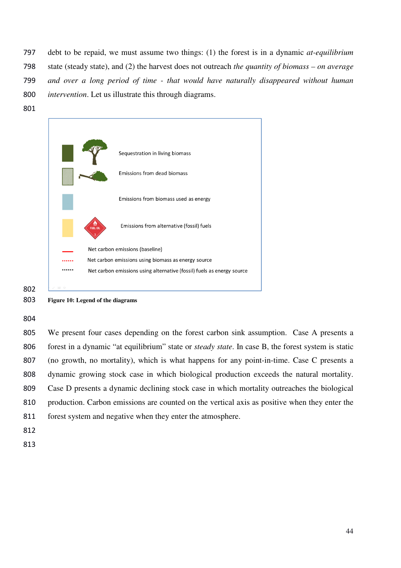- debt to be repaid, we must assume two things: (1) the forest is in a dynamic *at-equilibrium*
- state (steady state), and (2) the harvest does not outreach *the quantity of biomass on average*
- *and over a long period of time that would have naturally disappeared without human*
- *intervention*. Let us illustrate this through diagrams.
- 



## **Figure 10: Legend of the diagrams**

We present four cases depending on the forest carbon sink assumption. Case A presents a forest in a dynamic "at equilibrium" state or *steady state*. In case B, the forest system is static (no growth, no mortality), which is what happens for any point-in-time. Case C presents a dynamic growing stock case in which biological production exceeds the natural mortality. Case D presents a dynamic declining stock case in which mortality outreaches the biological production. Carbon emissions are counted on the vertical axis as positive when they enter the forest system and negative when they enter the atmosphere.

- 
-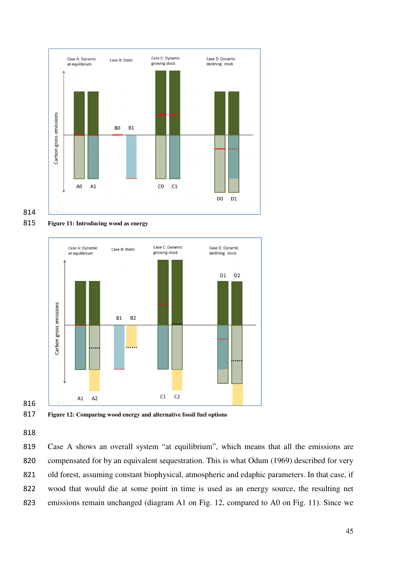

**Figure 11: Introducing wood as energy** 



**Figure 12: Comparing wood energy and alternative fossil fuel options** 

Case A shows an overall system "at equilibrium", which means that all the emissions are compensated for by an equivalent sequestration. This is what Odum (1969) described for very 821 old forest, assuming constant biophysical, atmospheric and edaphic parameters. In that case, if wood that would die at some point in time is used as an energy source, the resulting net emissions remain unchanged (diagram A1 on Fig. 12, compared to A0 on Fig. 11). Since we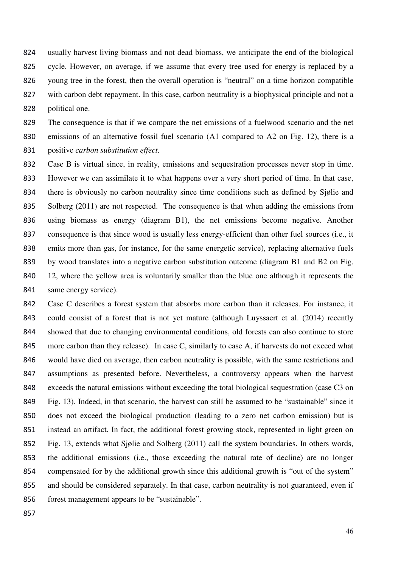usually harvest living biomass and not dead biomass, we anticipate the end of the biological cycle. However, on average, if we assume that every tree used for energy is replaced by a young tree in the forest, then the overall operation is "neutral" on a time horizon compatible with carbon debt repayment. In this case, carbon neutrality is a biophysical principle and not a political one.

The consequence is that if we compare the net emissions of a fuelwood scenario and the net emissions of an alternative fossil fuel scenario (A1 compared to A2 on Fig. 12), there is a positive *carbon substitution effect*.

Case B is virtual since, in reality, emissions and sequestration processes never stop in time. However we can assimilate it to what happens over a very short period of time. In that case, there is obviously no carbon neutrality since time conditions such as defined by Sjølie and Solberg (2011) are not respected. The consequence is that when adding the emissions from using biomass as energy (diagram B1), the net emissions become negative. Another consequence is that since wood is usually less energy-efficient than other fuel sources (i.e., it emits more than gas, for instance, for the same energetic service), replacing alternative fuels by wood translates into a negative carbon substitution outcome (diagram B1 and B2 on Fig. 12, where the yellow area is voluntarily smaller than the blue one although it represents the 841 same energy service).

Case C describes a forest system that absorbs more carbon than it releases. For instance, it could consist of a forest that is not yet mature (although Luyssaert et al. (2014) recently showed that due to changing environmental conditions, old forests can also continue to store more carbon than they release). In case C, similarly to case A, if harvests do not exceed what would have died on average, then carbon neutrality is possible, with the same restrictions and assumptions as presented before. Nevertheless, a controversy appears when the harvest exceeds the natural emissions without exceeding the total biological sequestration (case C3 on Fig. 13). Indeed, in that scenario, the harvest can still be assumed to be "sustainable" since it does not exceed the biological production (leading to a zero net carbon emission) but is instead an artifact. In fact, the additional forest growing stock, represented in light green on Fig. 13, extends what Sjølie and Solberg (2011) call the system boundaries. In others words, the additional emissions (i.e., those exceeding the natural rate of decline) are no longer compensated for by the additional growth since this additional growth is "out of the system" and should be considered separately. In that case, carbon neutrality is not guaranteed, even if forest management appears to be "sustainable".